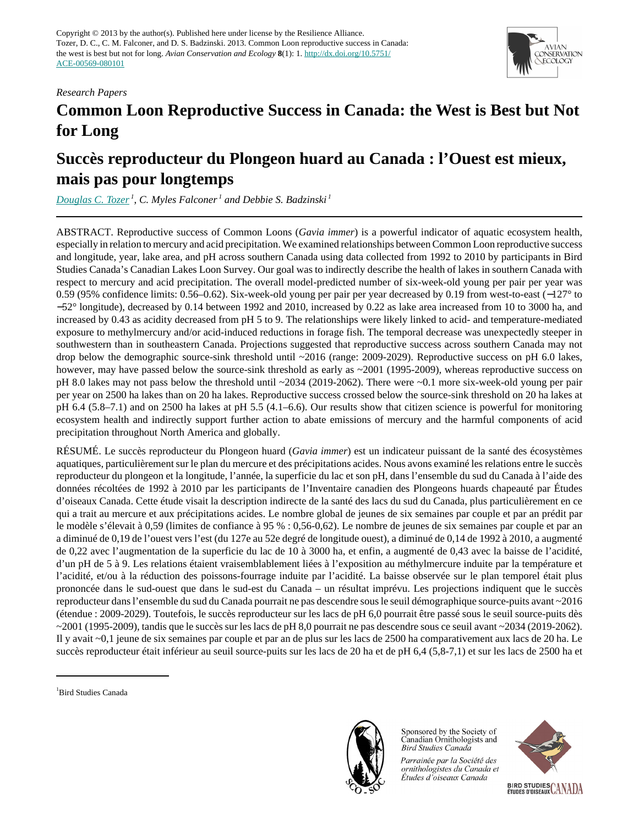

#### *Research Papers*

# **Common Loon Reproductive Success in Canada: the West is Best but Not for Long**

# **Succès reproducteur du Plongeon huard au Canada : l'Ouest est mieux, mais pas pour longtemps**

*[Douglas C. Tozer](mailto:dtozer@birdscanada.org)<sup>1</sup>* , *C. Myles Falconer<sup>1</sup> and Debbie S. Badzinski<sup>1</sup>*

ABSTRACT. Reproductive success of Common Loons (*Gavia immer*) is a powerful indicator of aquatic ecosystem health, especially in relation to mercury and acid precipitation. We examined relationships between Common Loon reproductive success and longitude, year, lake area, and pH across southern Canada using data collected from 1992 to 2010 by participants in Bird Studies Canada's Canadian Lakes Loon Survey. Our goal was to indirectly describe the health of lakes in southern Canada with respect to mercury and acid precipitation. The overall model-predicted number of six-week-old young per pair per year was 0.59 (95% confidence limits: 0.56–0.62). Six-week-old young per pair per year decreased by 0.19 from west-to-east (−127° to −52° longitude), decreased by 0.14 between 1992 and 2010, increased by 0.22 as lake area increased from 10 to 3000 ha, and increased by 0.43 as acidity decreased from pH 5 to 9. The relationships were likely linked to acid- and temperature-mediated exposure to methylmercury and/or acid-induced reductions in forage fish. The temporal decrease was unexpectedly steeper in southwestern than in southeastern Canada. Projections suggested that reproductive success across southern Canada may not drop below the demographic source-sink threshold until ~2016 (range: 2009-2029). Reproductive success on pH 6.0 lakes, however, may have passed below the source-sink threshold as early as ~2001 (1995-2009), whereas reproductive success on pH 8.0 lakes may not pass below the threshold until  $\sim$ 2034 (2019-2062). There were  $\sim$ 0.1 more six-week-old young per pair per year on 2500 ha lakes than on 20 ha lakes. Reproductive success crossed below the source-sink threshold on 20 ha lakes at pH 6.4 (5.8–7.1) and on 2500 ha lakes at pH 5.5 (4.1–6.6). Our results show that citizen science is powerful for monitoring ecosystem health and indirectly support further action to abate emissions of mercury and the harmful components of acid precipitation throughout North America and globally.

RÉSUMÉ. Le succès reproducteur du Plongeon huard (*Gavia immer*) est un indicateur puissant de la santé des écosystèmes aquatiques, particulièrement sur le plan du mercure et des précipitations acides. Nous avons examiné les relations entre le succès reproducteur du plongeon et la longitude, l'année, la superficie du lac et son pH, dans l'ensemble du sud du Canada à l'aide des données récoltées de 1992 à 2010 par les participants de l'Inventaire canadien des Plongeons huards chapeauté par Études d'oiseaux Canada. Cette étude visait la description indirecte de la santé des lacs du sud du Canada, plus particulièrement en ce qui a trait au mercure et aux précipitations acides. Le nombre global de jeunes de six semaines par couple et par an prédit par le modèle s'élevait à 0,59 (limites de confiance à 95 % : 0,56-0,62). Le nombre de jeunes de six semaines par couple et par an a diminué de 0,19 de l'ouest vers l'est (du 127e au 52e degré de longitude ouest), a diminué de 0,14 de 1992 à 2010, a augmenté de 0,22 avec l'augmentation de la superficie du lac de 10 à 3000 ha, et enfin, a augmenté de 0,43 avec la baisse de l'acidité, d'un pH de 5 à 9. Les relations étaient vraisemblablement liées à l'exposition au méthylmercure induite par la température et l'acidité, et/ou à la réduction des poissons-fourrage induite par l'acidité. La baisse observée sur le plan temporel était plus prononcée dans le sud-ouest que dans le sud-est du Canada – un résultat imprévu. Les projections indiquent que le succès reproducteur dans l'ensemble du sud du Canada pourrait ne pas descendre sous le seuil démographique source-puits avant ~2016 (étendue : 2009-2029). Toutefois, le succès reproducteur sur les lacs de pH 6,0 pourrait être passé sous le seuil source-puits dès  $\sim$ 2001 (1995-2009), tandis que le succès sur les lacs de pH 8,0 pourrait ne pas descendre sous ce seuil avant  $\sim$ 2034 (2019-2062). Il y avait ~0,1 jeune de six semaines par couple et par an de plus sur les lacs de 2500 ha comparativement aux lacs de 20 ha. Le succès reproducteur était inférieur au seuil source-puits sur les lacs de 20 ha et de pH 6,4 (5,8-7,1) et sur les lacs de 2500 ha et

<sup>1</sup>Bird Studies Canada



Sponsored by the Society of Canadian Ornithologists and **Bird Studies Canada** 

Parrainée par la Société des ornithologistes du Canada et Études d'oiseaux Canada

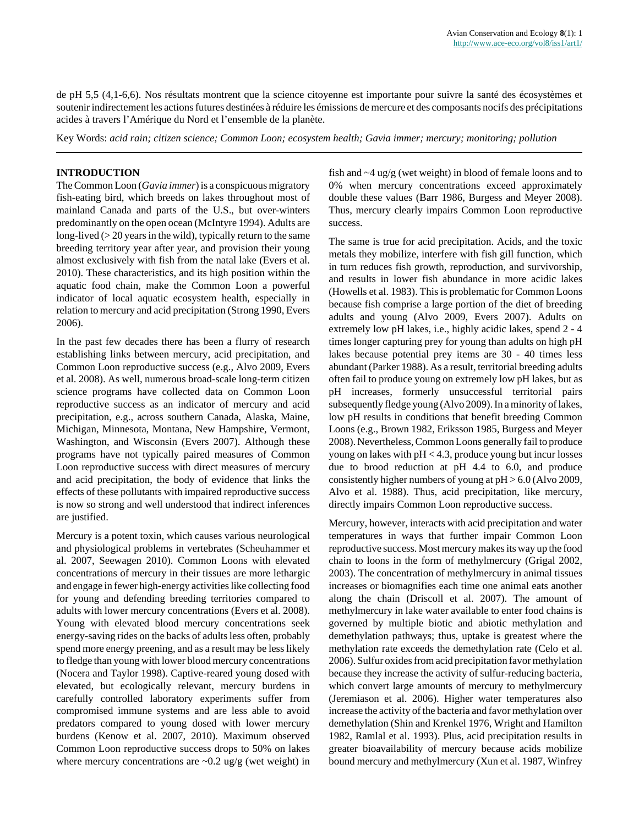de pH 5,5 (4,1-6,6). Nos résultats montrent que la science citoyenne est importante pour suivre la santé des écosystèmes et soutenir indirectement les actions futures destinées à réduire les émissions de mercure et des composants nocifs des précipitations acides à travers l'Amérique du Nord et l'ensemble de la planète.

Key Words: *acid rain; citizen science; Common Loon; ecosystem health; Gavia immer; mercury; monitoring; pollution*

# **INTRODUCTION**

The Common Loon (*Gavia immer*) is a conspicuous migratory fish-eating bird, which breeds on lakes throughout most of mainland Canada and parts of the U.S., but over-winters predominantly on the open ocean (McIntyre 1994). Adults are long-lived (> 20 years in the wild), typically return to the same breeding territory year after year, and provision their young almost exclusively with fish from the natal lake (Evers et al. 2010). These characteristics, and its high position within the aquatic food chain, make the Common Loon a powerful indicator of local aquatic ecosystem health, especially in relation to mercury and acid precipitation (Strong 1990, Evers 2006).

In the past few decades there has been a flurry of research establishing links between mercury, acid precipitation, and Common Loon reproductive success (e.g., Alvo 2009, Evers et al. 2008). As well, numerous broad-scale long-term citizen science programs have collected data on Common Loon reproductive success as an indicator of mercury and acid precipitation, e.g., across southern Canada, Alaska, Maine, Michigan, Minnesota, Montana, New Hampshire, Vermont, Washington, and Wisconsin (Evers 2007). Although these programs have not typically paired measures of Common Loon reproductive success with direct measures of mercury and acid precipitation, the body of evidence that links the effects of these pollutants with impaired reproductive success is now so strong and well understood that indirect inferences are justified.

Mercury is a potent toxin, which causes various neurological and physiological problems in vertebrates (Scheuhammer et al. 2007, Seewagen 2010). Common Loons with elevated concentrations of mercury in their tissues are more lethargic and engage in fewer high-energy activities like collecting food for young and defending breeding territories compared to adults with lower mercury concentrations (Evers et al. 2008). Young with elevated blood mercury concentrations seek energy-saving rides on the backs of adults less often, probably spend more energy preening, and as a result may be less likely to fledge than young with lower blood mercury concentrations (Nocera and Taylor 1998). Captive-reared young dosed with elevated, but ecologically relevant, mercury burdens in carefully controlled laboratory experiments suffer from compromised immune systems and are less able to avoid predators compared to young dosed with lower mercury burdens (Kenow et al. 2007, 2010). Maximum observed Common Loon reproductive success drops to 50% on lakes where mercury concentrations are  $\sim 0.2$  ug/g (wet weight) in fish and ~4 ug/g (wet weight) in blood of female loons and to 0% when mercury concentrations exceed approximately double these values (Barr 1986, Burgess and Meyer 2008). Thus, mercury clearly impairs Common Loon reproductive success.

The same is true for acid precipitation. Acids, and the toxic metals they mobilize, interfere with fish gill function, which in turn reduces fish growth, reproduction, and survivorship, and results in lower fish abundance in more acidic lakes (Howells et al. 1983). This is problematic for Common Loons because fish comprise a large portion of the diet of breeding adults and young (Alvo 2009, Evers 2007). Adults on extremely low pH lakes, i.e., highly acidic lakes, spend 2 - 4 times longer capturing prey for young than adults on high pH lakes because potential prey items are 30 - 40 times less abundant (Parker 1988). As a result, territorial breeding adults often fail to produce young on extremely low pH lakes, but as pH increases, formerly unsuccessful territorial pairs subsequently fledge young (Alvo 2009). In a minority of lakes, low pH results in conditions that benefit breeding Common Loons (e.g., Brown 1982, Eriksson 1985, Burgess and Meyer 2008). Nevertheless, Common Loons generally fail to produce young on lakes with pH < 4.3, produce young but incur losses due to brood reduction at pH 4.4 to 6.0, and produce consistently higher numbers of young at pH > 6.0 (Alvo 2009, Alvo et al. 1988). Thus, acid precipitation, like mercury, directly impairs Common Loon reproductive success.

Mercury, however, interacts with acid precipitation and water temperatures in ways that further impair Common Loon reproductive success. Most mercury makes its way up the food chain to loons in the form of methylmercury (Grigal 2002, 2003). The concentration of methylmercury in animal tissues increases or biomagnifies each time one animal eats another along the chain (Driscoll et al. 2007). The amount of methylmercury in lake water available to enter food chains is governed by multiple biotic and abiotic methylation and demethylation pathways; thus, uptake is greatest where the methylation rate exceeds the demethylation rate (Celo et al. 2006). Sulfur oxides from acid precipitation favor methylation because they increase the activity of sulfur-reducing bacteria, which convert large amounts of mercury to methylmercury (Jeremiason et al. 2006). Higher water temperatures also increase the activity of the bacteria and favor methylation over demethylation (Shin and Krenkel 1976, Wright and Hamilton 1982, Ramlal et al. 1993). Plus, acid precipitation results in greater bioavailability of mercury because acids mobilize bound mercury and methylmercury (Xun et al. 1987, Winfrey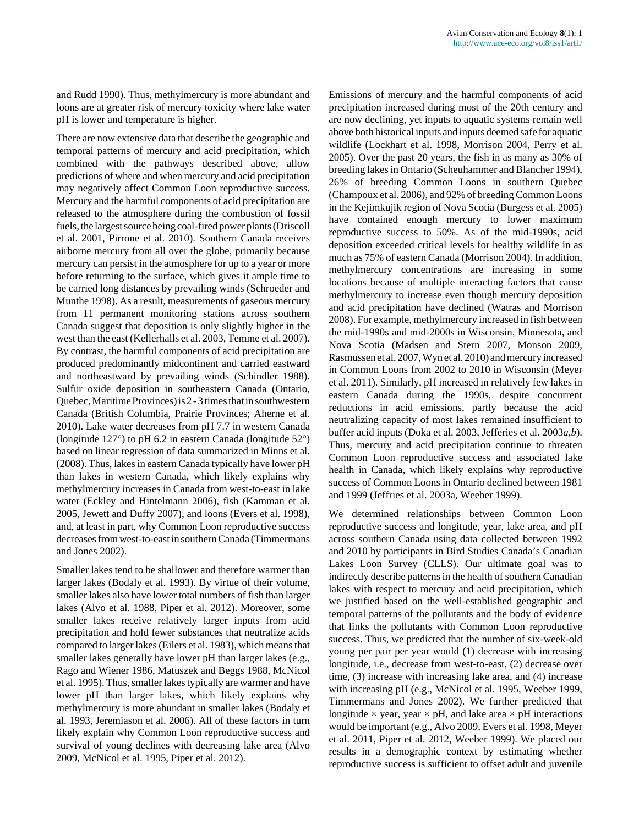and Rudd 1990). Thus, methylmercury is more abundant and loons are at greater risk of mercury toxicity where lake water pH is lower and temperature is higher.

There are now extensive data that describe the geographic and temporal patterns of mercury and acid precipitation, which combined with the pathways described above, allow predictions of where and when mercury and acid precipitation may negatively affect Common Loon reproductive success. Mercury and the harmful components of acid precipitation are released to the atmosphere during the combustion of fossil fuels, the largest source being coal-fired power plants (Driscoll et al. 2001, Pirrone et al. 2010). Southern Canada receives airborne mercury from all over the globe, primarily because mercury can persist in the atmosphere for up to a year or more before returning to the surface, which gives it ample time to be carried long distances by prevailing winds (Schroeder and Munthe 1998). As a result, measurements of gaseous mercury from 11 permanent monitoring stations across southern Canada suggest that deposition is only slightly higher in the west than the east (Kellerhalls et al. 2003, Temme et al. 2007). By contrast, the harmful components of acid precipitation are produced predominantly midcontinent and carried eastward and northeastward by prevailing winds (Schindler 1988). Sulfur oxide deposition in southeastern Canada (Ontario, Quebec, Maritime Provinces) is 2 - 3 times that in southwestern Canada (British Columbia, Prairie Provinces; Aherne et al. 2010). Lake water decreases from pH 7.7 in western Canada (longitude 127°) to pH 6.2 in eastern Canada (longitude 52°) based on linear regression of data summarized in Minns et al. (2008). Thus, lakes in eastern Canada typically have lower pH than lakes in western Canada, which likely explains why methylmercury increases in Canada from west-to-east in lake water (Eckley and Hintelmann 2006), fish (Kamman et al. 2005, Jewett and Duffy 2007), and loons (Evers et al. 1998), and, at least in part, why Common Loon reproductive success decreases from west-to-east in southern Canada (Timmermans and Jones 2002).

Smaller lakes tend to be shallower and therefore warmer than larger lakes (Bodaly et al. 1993). By virtue of their volume, smaller lakes also have lower total numbers of fish than larger lakes (Alvo et al. 1988, Piper et al. 2012). Moreover, some smaller lakes receive relatively larger inputs from acid precipitation and hold fewer substances that neutralize acids compared to larger lakes (Eilers et al. 1983), which means that smaller lakes generally have lower pH than larger lakes (e.g., Rago and Wiener 1986, Matuszek and Beggs 1988, McNicol et al. 1995). Thus, smaller lakes typically are warmer and have lower pH than larger lakes, which likely explains why methylmercury is more abundant in smaller lakes (Bodaly et al. 1993, Jeremiason et al. 2006). All of these factors in turn likely explain why Common Loon reproductive success and survival of young declines with decreasing lake area (Alvo 2009, McNicol et al. 1995, Piper et al. 2012).

Emissions of mercury and the harmful components of acid precipitation increased during most of the 20th century and are now declining, yet inputs to aquatic systems remain well above both historical inputs and inputs deemed safe for aquatic wildlife (Lockhart et al. 1998, Morrison 2004, Perry et al. 2005). Over the past 20 years, the fish in as many as 30% of breeding lakes in Ontario (Scheuhammer and Blancher 1994), 26% of breeding Common Loons in southern Quebec (Champoux et al. 2006), and 92% of breeding Common Loons in the Kejimkujik region of Nova Scotia (Burgess et al. 2005) have contained enough mercury to lower maximum reproductive success to 50%. As of the mid-1990s, acid deposition exceeded critical levels for healthy wildlife in as much as 75% of eastern Canada (Morrison 2004). In addition, methylmercury concentrations are increasing in some locations because of multiple interacting factors that cause methylmercury to increase even though mercury deposition and acid precipitation have declined (Watras and Morrison 2008). For example, methylmercury increased in fish between the mid-1990s and mid-2000s in Wisconsin, Minnesota, and Nova Scotia (Madsen and Stern 2007, Monson 2009, Rasmussen et al. 2007, Wyn et al. 2010) and mercury increased in Common Loons from 2002 to 2010 in Wisconsin (Meyer et al. 2011). Similarly, pH increased in relatively few lakes in eastern Canada during the 1990s, despite concurrent reductions in acid emissions, partly because the acid neutralizing capacity of most lakes remained insufficient to buffer acid inputs (Doka et al. 2003, Jefferies et al. 2003*a,b*). Thus, mercury and acid precipitation continue to threaten Common Loon reproductive success and associated lake health in Canada, which likely explains why reproductive success of Common Loons in Ontario declined between 1981 and 1999 (Jeffries et al. 2003a, Weeber 1999).

We determined relationships between Common Loon reproductive success and longitude, year, lake area, and pH across southern Canada using data collected between 1992 and 2010 by participants in Bird Studies Canada's Canadian Lakes Loon Survey (CLLS). Our ultimate goal was to indirectly describe patterns in the health of southern Canadian lakes with respect to mercury and acid precipitation, which we justified based on the well-established geographic and temporal patterns of the pollutants and the body of evidence that links the pollutants with Common Loon reproductive success. Thus, we predicted that the number of six-week-old young per pair per year would (1) decrease with increasing longitude, i.e., decrease from west-to-east, (2) decrease over time, (3) increase with increasing lake area, and (4) increase with increasing pH (e.g., McNicol et al. 1995, Weeber 1999, Timmermans and Jones 2002). We further predicted that longitude  $\times$  year, year  $\times$  pH, and lake area  $\times$  pH interactions would be important (e.g., Alvo 2009, Evers et al. 1998, Meyer et al. 2011, Piper et al. 2012, Weeber 1999). We placed our results in a demographic context by estimating whether reproductive success is sufficient to offset adult and juvenile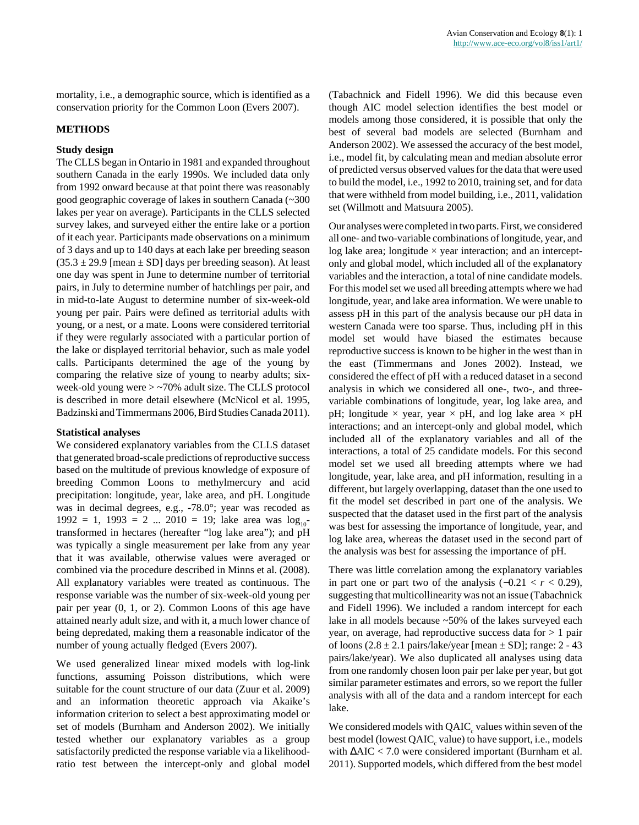mortality, i.e., a demographic source, which is identified as a conservation priority for the Common Loon (Evers 2007).

### **METHODS**

#### **Study design**

The CLLS began in Ontario in 1981 and expanded throughout southern Canada in the early 1990s. We included data only from 1992 onward because at that point there was reasonably good geographic coverage of lakes in southern Canada (~300 lakes per year on average). Participants in the CLLS selected survey lakes, and surveyed either the entire lake or a portion of it each year. Participants made observations on a minimum of 3 days and up to 140 days at each lake per breeding season  $(35.3 \pm 29.9)$  [mean  $\pm$  SD] days per breeding season). At least one day was spent in June to determine number of territorial pairs, in July to determine number of hatchlings per pair, and in mid-to-late August to determine number of six-week-old young per pair. Pairs were defined as territorial adults with young, or a nest, or a mate. Loons were considered territorial if they were regularly associated with a particular portion of the lake or displayed territorial behavior, such as male yodel calls. Participants determined the age of the young by comparing the relative size of young to nearby adults; sixweek-old young were > ~70% adult size. The CLLS protocol is described in more detail elsewhere (McNicol et al. 1995, Badzinski and Timmermans 2006, Bird Studies Canada 2011).

#### **Statistical analyses**

We considered explanatory variables from the CLLS dataset that generated broad-scale predictions of reproductive success based on the multitude of previous knowledge of exposure of breeding Common Loons to methylmercury and acid precipitation: longitude, year, lake area, and pH. Longitude was in decimal degrees, e.g., -78.0°; year was recoded as  $1992 = 1$ ,  $1993 = 2$  ...  $2010 = 19$ ; lake area was  $\log_{10}$ transformed in hectares (hereafter "log lake area"); and pH was typically a single measurement per lake from any year that it was available, otherwise values were averaged or combined via the procedure described in Minns et al. (2008). All explanatory variables were treated as continuous. The response variable was the number of six-week-old young per pair per year (0, 1, or 2). Common Loons of this age have attained nearly adult size, and with it, a much lower chance of being depredated, making them a reasonable indicator of the number of young actually fledged (Evers 2007).

We used generalized linear mixed models with log-link functions, assuming Poisson distributions, which were suitable for the count structure of our data (Zuur et al. 2009) and an information theoretic approach via Akaike's information criterion to select a best approximating model or set of models (Burnham and Anderson 2002). We initially tested whether our explanatory variables as a group satisfactorily predicted the response variable via a likelihoodratio test between the intercept-only and global model (Tabachnick and Fidell 1996). We did this because even though AIC model selection identifies the best model or models among those considered, it is possible that only the best of several bad models are selected (Burnham and Anderson 2002). We assessed the accuracy of the best model, i.e., model fit, by calculating mean and median absolute error of predicted versus observed values for the data that were used to build the model, i.e., 1992 to 2010, training set, and for data that were withheld from model building, i.e., 2011, validation set (Willmott and Matsuura 2005).

Our analyses were completed in two parts. First, we considered all one- and two-variable combinations of longitude, year, and log lake area; longitude  $\times$  year interaction; and an interceptonly and global model, which included all of the explanatory variables and the interaction, a total of nine candidate models. For this model set we used all breeding attempts where we had longitude, year, and lake area information. We were unable to assess pH in this part of the analysis because our pH data in western Canada were too sparse. Thus, including pH in this model set would have biased the estimates because reproductive success is known to be higher in the west than in the east (Timmermans and Jones 2002). Instead, we considered the effect of pH with a reduced dataset in a second analysis in which we considered all one-, two-, and threevariable combinations of longitude, year, log lake area, and pH; longitude  $\times$  year, year  $\times$  pH, and log lake area  $\times$  pH interactions; and an intercept-only and global model, which included all of the explanatory variables and all of the interactions, a total of 25 candidate models. For this second model set we used all breeding attempts where we had longitude, year, lake area, and pH information, resulting in a different, but largely overlapping, dataset than the one used to fit the model set described in part one of the analysis. We suspected that the dataset used in the first part of the analysis was best for assessing the importance of longitude, year, and log lake area, whereas the dataset used in the second part of the analysis was best for assessing the importance of pH.

There was little correlation among the explanatory variables in part one or part two of the analysis (−0.21 < *r* < 0.29), suggesting that multicollinearity was not an issue (Tabachnick and Fidell 1996). We included a random intercept for each lake in all models because ~50% of the lakes surveyed each year, on average, had reproductive success data for > 1 pair of loons  $(2.8 \pm 2.1 \text{ pairs/like/year}$  [mean  $\pm$  SD]; range: 2 - 43 pairs/lake/year). We also duplicated all analyses using data from one randomly chosen loon pair per lake per year, but got similar parameter estimates and errors, so we report the fuller analysis with all of the data and a random intercept for each lake.

We considered models with  $QAIC<sub>c</sub>$  values within seven of the best model (lowest  $\operatorname{QAIC}_c$  value) to have support, i.e., models with ∆AIC < 7.0 were considered important (Burnham et al. 2011). Supported models, which differed from the best model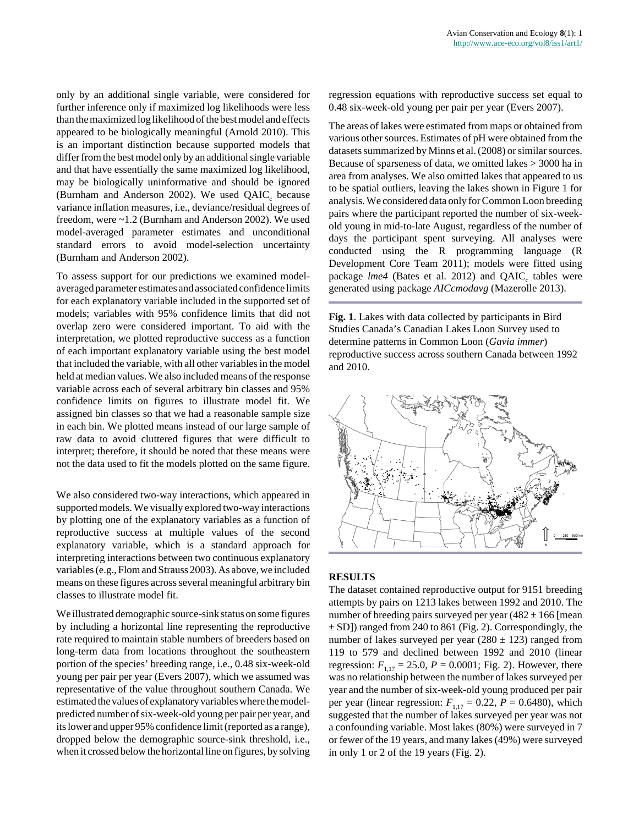only by an additional single variable, were considered for further inference only if maximized log likelihoods were less than the maximized log likelihood of the best model and effects appeared to be biologically meaningful (Arnold 2010). This is an important distinction because supported models that differ from the best model only by an additional single variable and that have essentially the same maximized log likelihood, may be biologically uninformative and should be ignored (Burnham and Anderson 2002). We used  $QAIC_c$  because variance inflation measures, i.e., deviance/residual degrees of freedom, were ~1.2 (Burnham and Anderson 2002). We used model-averaged parameter estimates and unconditional standard errors to avoid model-selection uncertainty (Burnham and Anderson 2002).

To assess support for our predictions we examined modelaveraged parameter estimates and associated confidence limits for each explanatory variable included in the supported set of models; variables with 95% confidence limits that did not overlap zero were considered important. To aid with the interpretation, we plotted reproductive success as a function of each important explanatory variable using the best model that included the variable, with all other variables in the model held at median values. We also included means of the response variable across each of several arbitrary bin classes and 95% confidence limits on figures to illustrate model fit. We assigned bin classes so that we had a reasonable sample size in each bin. We plotted means instead of our large sample of raw data to avoid cluttered figures that were difficult to interpret; therefore, it should be noted that these means were not the data used to fit the models plotted on the same figure.

We also considered two-way interactions, which appeared in supported models. We visually explored two-way interactions by plotting one of the explanatory variables as a function of reproductive success at multiple values of the second explanatory variable, which is a standard approach for interpreting interactions between two continuous explanatory variables (e.g., Flom and Strauss 2003). As above, we included means on these figures across several meaningful arbitrary bin classes to illustrate model fit.

We illustrated demographic source-sink status on some figures by including a horizontal line representing the reproductive rate required to maintain stable numbers of breeders based on long-term data from locations throughout the southeastern portion of the species' breeding range, i.e., 0.48 six-week-old young per pair per year (Evers 2007), which we assumed was representative of the value throughout southern Canada. We estimated the values of explanatory variables where the modelpredicted number of six-week-old young per pair per year, and its lower and upper 95% confidence limit (reported as a range), dropped below the demographic source-sink threshold, i.e., when it crossed below the horizontal line on figures, by solving regression equations with reproductive success set equal to 0.48 six-week-old young per pair per year (Evers 2007).

The areas of lakes were estimated from maps or obtained from various other sources. Estimates of pH were obtained from the datasets summarized by Minns et al. (2008) or similar sources. Because of sparseness of data, we omitted lakes > 3000 ha in area from analyses. We also omitted lakes that appeared to us to be spatial outliers, leaving the lakes shown in Figure 1 for analysis. We considered data only for Common Loon breeding pairs where the participant reported the number of six-weekold young in mid-to-late August, regardless of the number of days the participant spent surveying. All analyses were conducted using the R programming language (R Development Core Team 2011); models were fitted using package *lme4* (Bates et al. 2012) and QAIC<sub>c</sub> tables were generated using package *AICcmodavg* (Mazerolle 2013).

**Fig. 1**. Lakes with data collected by participants in Bird Studies Canada's Canadian Lakes Loon Survey used to determine patterns in Common Loon (*Gavia immer*) reproductive success across southern Canada between 1992 and 2010.



## **RESULTS**

The dataset contained reproductive output for 9151 breeding attempts by pairs on 1213 lakes between 1992 and 2010. The number of breeding pairs surveyed per year  $(482 \pm 166)$  [mean  $\pm$  SD]) ranged from 240 to 861 (Fig. 2). Correspondingly, the number of lakes surveyed per year  $(280 \pm 123)$  ranged from 119 to 579 and declined between 1992 and 2010 (linear regression:  $F_{1,17} = 25.0$ ,  $P = 0.0001$ ; Fig. 2). However, there was no relationship between the number of lakes surveyed per year and the number of six-week-old young produced per pair per year (linear regression:  $F_{1,17} = 0.22$ ,  $P = 0.6480$ ), which suggested that the number of lakes surveyed per year was not a confounding variable. Most lakes (80%) were surveyed in 7 or fewer of the 19 years, and many lakes (49%) were surveyed in only 1 or 2 of the 19 years (Fig. 2).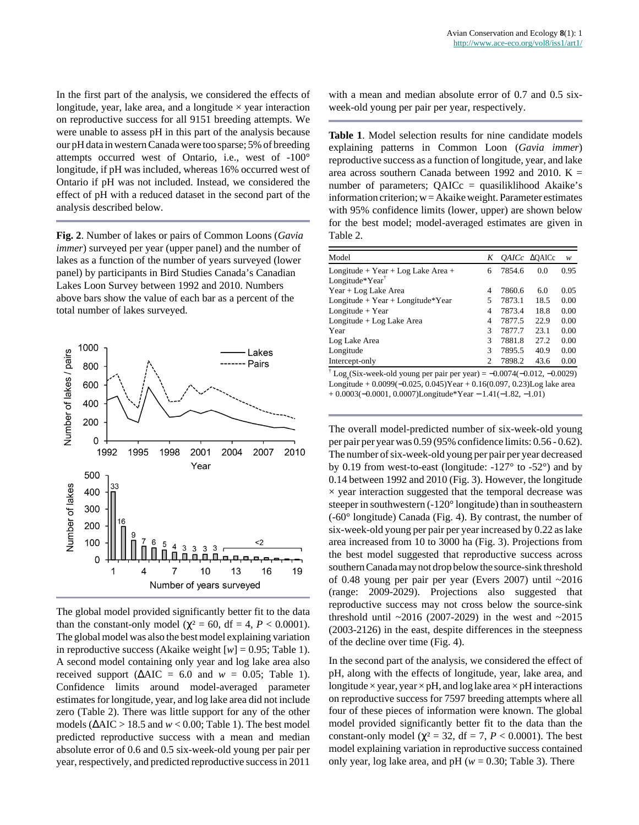In the first part of the analysis, we considered the effects of longitude, year, lake area, and a longitude  $\times$  year interaction on reproductive success for all 9151 breeding attempts. We were unable to assess pH in this part of the analysis because our pH data in western Canada were too sparse; 5% of breeding attempts occurred west of Ontario, i.e., west of -100° longitude, if pH was included, whereas 16% occurred west of Ontario if pH was not included. Instead, we considered the effect of pH with a reduced dataset in the second part of the analysis described below.

**Fig. 2**. Number of lakes or pairs of Common Loons (*Gavia immer*) surveyed per year (upper panel) and the number of lakes as a function of the number of years surveyed (lower panel) by participants in Bird Studies Canada's Canadian Lakes Loon Survey between 1992 and 2010. Numbers above bars show the value of each bar as a percent of the total number of lakes surveyed.



The global model provided significantly better fit to the data than the constant-only model ( $\chi^2 = 60$ , df = 4, P < 0.0001). The global model was also the best model explaining variation in reproductive success (Akaike weight  $[w] = 0.95$ ; Table 1). A second model containing only year and log lake area also received support ( $\triangle AIC = 6.0$  and  $w = 0.05$ ; Table 1). Confidence limits around model-averaged parameter estimates for longitude, year, and log lake area did not include zero (Table 2). There was little support for any of the other models ( $\triangle AIC > 18.5$  and  $w < 0.00$ ; Table 1). The best model predicted reproductive success with a mean and median absolute error of 0.6 and 0.5 six-week-old young per pair per year, respectively, and predicted reproductive success in 2011

with a mean and median absolute error of 0.7 and 0.5 sixweek-old young per pair per year, respectively.

**Table 1**. Model selection results for nine candidate models explaining patterns in Common Loon (*Gavia immer*) reproductive success as a function of longitude, year, and lake area across southern Canada between 1992 and 2010.  $K =$ number of parameters;  $QAICc = quasiliklihood Akaike's$ information criterion;  $w = Akaike$  weight. Parameter estimates with 95% confidence limits (lower, upper) are shown below for the best model; model-averaged estimates are given in Table 2.

| Model                                 | K |        | OAICc AOAICc | w    |
|---------------------------------------|---|--------|--------------|------|
| Longitude + Year + Log Lake Area +    | 6 | 7854.6 | 0.0          | 0.95 |
| Longitude*Year <sup>†</sup>           |   |        |              |      |
| Year + Log Lake Area                  | 4 | 7860.6 | 6.0          | 0.05 |
| $Longitude + Year + Longitude * Year$ | 5 | 7873.1 | 18.5         | 0.00 |
| $Longitude + Year$                    | 4 | 7873.4 | 18.8         | 0.00 |
| Longitude + Log Lake Area             | 4 | 7877.5 | 22.9         | 0.00 |
| Year                                  | 3 | 7877.7 | 23.1         | 0.00 |
| Log Lake Area                         | 3 | 7881.8 | 27.2         | 0.00 |
| Longitude                             | 3 | 7895.5 | 40.9         | 0.00 |
| Intercept-only                        | 2 | 7898.2 | 43.6         | 0.00 |
|                                       |   |        |              |      |

<sup>†</sup> Log<sub>e</sub>(Six-week-old young per pair per year) = −0.0074(−0.012, −0.0029) Longitude + 0.0099(−0.025, 0.045)Year + 0.16(0.097, 0.23)Log lake area + 0.0003(−0.0001, 0.0007)Longitude\*Year − 1.41(−1.82, −1.01)

The overall model-predicted number of six-week-old young per pair per year was 0.59 (95% confidence limits: 0.56 - 0.62). The number of six-week-old young per pair per year decreased by 0.19 from west-to-east (longitude: -127° to -52°) and by 0.14 between 1992 and 2010 (Fig. 3). However, the longitude  $\times$  year interaction suggested that the temporal decrease was steeper in southwestern (-120° longitude) than in southeastern (-60° longitude) Canada (Fig. 4). By contrast, the number of six-week-old young per pair per year increased by 0.22 as lake area increased from 10 to 3000 ha (Fig. 3). Projections from the best model suggested that reproductive success across southern Canada may not drop below the source-sink threshold of 0.48 young per pair per year (Evers 2007) until ~2016 (range: 2009-2029). Projections also suggested that reproductive success may not cross below the source-sink threshold until  $\sim$ 2016 (2007-2029) in the west and  $\sim$ 2015 (2003-2126) in the east, despite differences in the steepness of the decline over time (Fig. 4).

In the second part of the analysis, we considered the effect of pH, along with the effects of longitude, year, lake area, and longitude  $\times$  year, year  $\times$  pH, and log lake area  $\times$  pH interactions on reproductive success for 7597 breeding attempts where all four of these pieces of information were known. The global model provided significantly better fit to the data than the constant-only model ( $\chi^2$  = 32, df = 7, *P* < 0.0001). The best model explaining variation in reproductive success contained only year, log lake area, and  $pH (w = 0.30;$  Table 3). There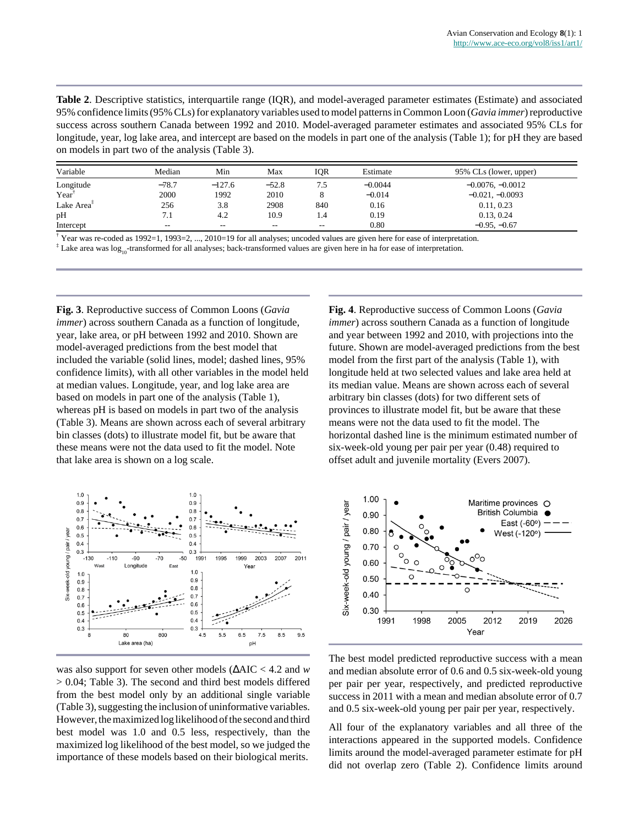**Table 2**. Descriptive statistics, interquartile range (IQR), and model-averaged parameter estimates (Estimate) and associated 95% confidence limits (95% CLs) for explanatory variables used to model patterns in Common Loon (*Gavia immer*) reproductive success across southern Canada between 1992 and 2010. Model-averaged parameter estimates and associated 95% CLs for longitude, year, log lake area, and intercept are based on the models in part one of the analysis (Table 1); for pH they are based on models in part two of the analysis (Table 3).

| Variable               | Median  | Min      | Max     | IOR   | Estimate  | 95% CLs (lower, upper) |
|------------------------|---------|----------|---------|-------|-----------|------------------------|
| Longitude              | $-78.7$ | $-127.6$ | $-52.8$ | 7.5   | $-0.0044$ | $-0.0076, -0.0012$     |
| $Year^{\dagger}$       | 2000    | 1992     | 2010    |       | $-0.014$  | $-0.021, -0.0093$      |
| Lake Area <sup>+</sup> | 256     | 3.8      | 2908    | 840   | 0.16      | 0.11, 0.23             |
| pH                     | 7.1     | 4.2      | 10.9    | 1.4   | 0.19      | 0.13, 0.24             |
| Intercept              | $- -$   | $- -$    | $- -$   | $- -$ | 0.80      | $-0.95, -0.67$         |

<sup>†</sup> Year was re-coded as 1992=1, 1993=2, ..., 2010=19 for all analyses; uncoded values are given here for ease of interpretation.

<sup>‡</sup> Lake area was  $\log_{10}$ -transformed for all analyses; back-transformed values are given here in ha for ease of interpretation.

**Fig. 3**. Reproductive success of Common Loons (*Gavia immer*) across southern Canada as a function of longitude, year, lake area, or pH between 1992 and 2010. Shown are model-averaged predictions from the best model that included the variable (solid lines, model; dashed lines, 95% confidence limits), with all other variables in the model held at median values. Longitude, year, and log lake area are based on models in part one of the analysis (Table 1), whereas pH is based on models in part two of the analysis (Table 3). Means are shown across each of several arbitrary bin classes (dots) to illustrate model fit, but be aware that these means were not the data used to fit the model. Note that lake area is shown on a log scale.



was also support for seven other models (∆AIC < 4.2 and *w* > 0.04; Table 3). The second and third best models differed from the best model only by an additional single variable (Table 3), suggesting the inclusion of uninformative variables. However, the maximized log likelihood of the second and third best model was 1.0 and 0.5 less, respectively, than the maximized log likelihood of the best model, so we judged the importance of these models based on their biological merits.

**Fig. 4**. Reproductive success of Common Loons (*Gavia immer*) across southern Canada as a function of longitude and year between 1992 and 2010, with projections into the future. Shown are model-averaged predictions from the best model from the first part of the analysis (Table 1), with longitude held at two selected values and lake area held at its median value. Means are shown across each of several arbitrary bin classes (dots) for two different sets of provinces to illustrate model fit, but be aware that these means were not the data used to fit the model. The horizontal dashed line is the minimum estimated number of six-week-old young per pair per year (0.48) required to offset adult and juvenile mortality (Evers 2007).



The best model predicted reproductive success with a mean and median absolute error of 0.6 and 0.5 six-week-old young per pair per year, respectively, and predicted reproductive success in 2011 with a mean and median absolute error of 0.7 and 0.5 six-week-old young per pair per year, respectively.

All four of the explanatory variables and all three of the interactions appeared in the supported models. Confidence limits around the model-averaged parameter estimate for pH did not overlap zero (Table 2). Confidence limits around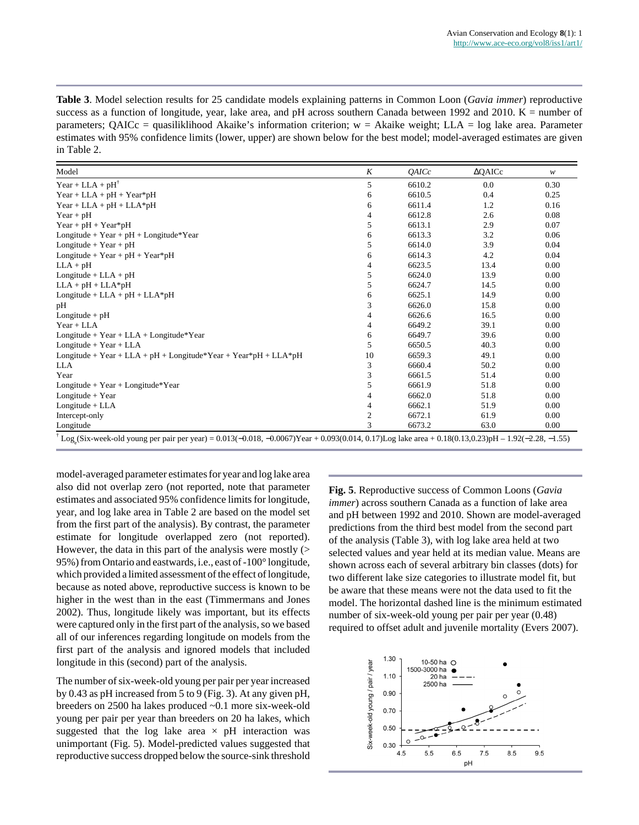**Table 3**. Model selection results for 25 candidate models explaining patterns in Common Loon (*Gavia immer*) reproductive success as a function of longitude, year, lake area, and pH across southern Canada between 1992 and 2010.  $K =$  number of parameters;  $QAICc = quasiliklihood Akaike's information criterion$ ;  $w = Akaike weight$ ;  $LLA = log lake area$ . Parameter estimates with 95% confidence limits (lower, upper) are shown below for the best model; model-averaged estimates are given in Table 2.

| Model                                                                                                                                                         | K  | OAICc  | $\triangle$ QAICc | $\boldsymbol{\mathcal{W}}$ |  |  |  |
|---------------------------------------------------------------------------------------------------------------------------------------------------------------|----|--------|-------------------|----------------------------|--|--|--|
| Year + LLA + $pH^{\dagger}$                                                                                                                                   | 5  | 6610.2 | 0.0               | 0.30                       |  |  |  |
| $Year + LLA + pH + Year * pH$                                                                                                                                 | 6  | 6610.5 | 0.4               | 0.25                       |  |  |  |
| $Year + LLA + pH + LLA * pH$                                                                                                                                  | 6  | 6611.4 | 1.2               | 0.16                       |  |  |  |
| $Year + pH$                                                                                                                                                   | 4  | 6612.8 | 2.6               | 0.08                       |  |  |  |
| $Year + pH + Year * pH$                                                                                                                                       | 5  | 6613.1 | 2.9               | 0.07                       |  |  |  |
| $Longitude + Year + pH + Longitude * Year$                                                                                                                    | 6  | 6613.3 | 3.2               | 0.06                       |  |  |  |
| $Longitude + Year + pH$                                                                                                                                       | 5  | 6614.0 | 3.9               | 0.04                       |  |  |  |
| Longitude + Year + $pH + Year*pH$                                                                                                                             | 6  | 6614.3 | 4.2               | 0.04                       |  |  |  |
| $LLA + pH$                                                                                                                                                    | 4  | 6623.5 | 13.4              | 0.00                       |  |  |  |
| $Longitude + LLA + pH$                                                                                                                                        | 5  | 6624.0 | 13.9              | 0.00                       |  |  |  |
| $LLA + pH + LLA * pH$                                                                                                                                         | 5  | 6624.7 | 14.5              | 0.00                       |  |  |  |
| Longitude + LLA + $pH$ + LLA* $pH$                                                                                                                            | 6  | 6625.1 | 14.9              | 0.00                       |  |  |  |
| pH                                                                                                                                                            | 3  | 6626.0 | 15.8              | 0.00                       |  |  |  |
| Longitude + $pH$                                                                                                                                              | 4  | 6626.6 | 16.5              | 0.00                       |  |  |  |
| $Year + LLA$                                                                                                                                                  | 4  | 6649.2 | 39.1              | 0.00                       |  |  |  |
| $Longitude + Year + LLA + Longitude * Year$                                                                                                                   | 6  | 6649.7 | 39.6              | 0.00                       |  |  |  |
| $Longitude + Year + LLA$                                                                                                                                      | 5  | 6650.5 | 40.3              | 0.00                       |  |  |  |
| Longitude + Year + LLA + pH + Longitude*Year + Year*pH + LLA*pH                                                                                               | 10 | 6659.3 | 49.1              | 0.00                       |  |  |  |
| <b>LLA</b>                                                                                                                                                    | 3  | 6660.4 | 50.2              | 0.00                       |  |  |  |
| Year                                                                                                                                                          | 3  | 6661.5 | 51.4              | 0.00                       |  |  |  |
| $Longitude + Year + Longitude * Year$                                                                                                                         | 5  | 6661.9 | 51.8              | 0.00                       |  |  |  |
| $Longitude + Year$                                                                                                                                            | 4  | 6662.0 | 51.8              | 0.00                       |  |  |  |
| $Longitude + LLA$                                                                                                                                             | 4  | 6662.1 | 51.9              | 0.00                       |  |  |  |
| Intercept-only                                                                                                                                                | 2  | 6672.1 | 61.9              | 0.00                       |  |  |  |
| Longitude                                                                                                                                                     | 3  | 6673.2 | 63.0              | 0.00                       |  |  |  |
| Log (Six-week-old young per pair per year) = $0.013(-0.018, -0.0067)$ Year + $0.093(0.014, 0.17)$ Log lake area + $0.18(0.13, 0.23)$ pH $-1.92(-2.28, -1.55)$ |    |        |                   |                            |  |  |  |

model-averaged parameter estimates for year and log lake area also did not overlap zero (not reported, note that parameter estimates and associated 95% confidence limits for longitude, year, and log lake area in Table 2 are based on the model set from the first part of the analysis). By contrast, the parameter estimate for longitude overlapped zero (not reported). However, the data in this part of the analysis were mostly  $($ 95%) from Ontario and eastwards, i.e., east of -100° longitude, which provided a limited assessment of the effect of longitude, because as noted above, reproductive success is known to be higher in the west than in the east (Timmermans and Jones 2002). Thus, longitude likely was important, but its effects were captured only in the first part of the analysis, so we based all of our inferences regarding longitude on models from the first part of the analysis and ignored models that included longitude in this (second) part of the analysis.

The number of six-week-old young per pair per year increased by 0.43 as pH increased from 5 to 9 (Fig. 3). At any given pH, breeders on 2500 ha lakes produced ~0.1 more six-week-old young per pair per year than breeders on 20 ha lakes, which suggested that the log lake area  $\times$  pH interaction was unimportant (Fig. 5). Model-predicted values suggested that reproductive success dropped below the source-sink threshold **Fig. 5**. Reproductive success of Common Loons (*Gavia immer*) across southern Canada as a function of lake area and pH between 1992 and 2010. Shown are model-averaged predictions from the third best model from the second part of the analysis (Table 3), with log lake area held at two selected values and year held at its median value. Means are shown across each of several arbitrary bin classes (dots) for two different lake size categories to illustrate model fit, but be aware that these means were not the data used to fit the model. The horizontal dashed line is the minimum estimated number of six-week-old young per pair per year (0.48) required to offset adult and juvenile mortality (Evers 2007).

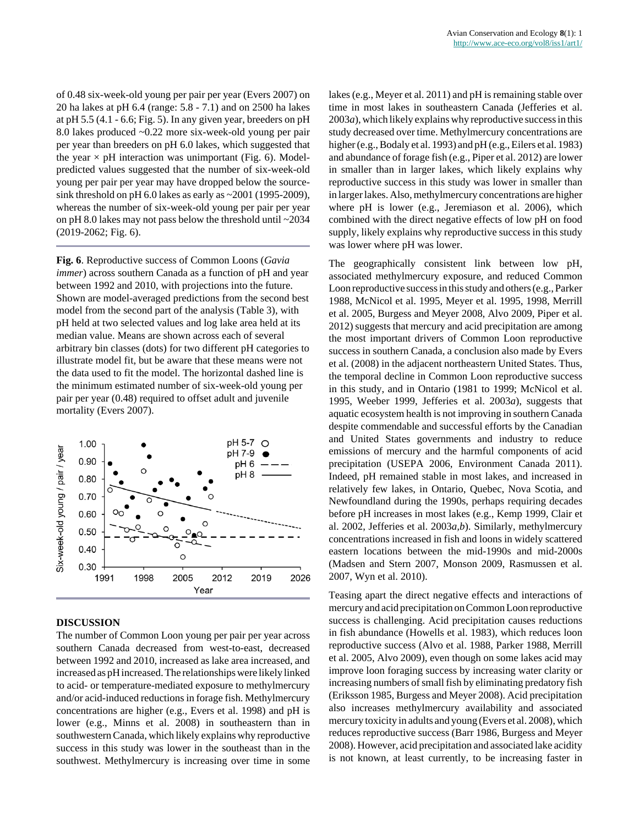of 0.48 six-week-old young per pair per year (Evers 2007) on 20 ha lakes at pH 6.4 (range: 5.8 - 7.1) and on 2500 ha lakes at pH 5.5 (4.1 - 6.6; Fig. 5). In any given year, breeders on pH 8.0 lakes produced ~0.22 more six-week-old young per pair per year than breeders on pH 6.0 lakes, which suggested that the year  $\times$  pH interaction was unimportant (Fig. 6). Modelpredicted values suggested that the number of six-week-old young per pair per year may have dropped below the sourcesink threshold on pH 6.0 lakes as early as  $\sim$  2001 (1995-2009). whereas the number of six-week-old young per pair per year on pH 8.0 lakes may not pass below the threshold until ~2034 (2019-2062; Fig. 6).

**Fig. 6**. Reproductive success of Common Loons (*Gavia immer*) across southern Canada as a function of pH and year between 1992 and 2010, with projections into the future. Shown are model-averaged predictions from the second best model from the second part of the analysis (Table 3), with pH held at two selected values and log lake area held at its median value. Means are shown across each of several arbitrary bin classes (dots) for two different pH categories to illustrate model fit, but be aware that these means were not the data used to fit the model. The horizontal dashed line is the minimum estimated number of six-week-old young per pair per year (0.48) required to offset adult and juvenile mortality (Evers 2007).



#### **DISCUSSION**

The number of Common Loon young per pair per year across southern Canada decreased from west-to-east, decreased between 1992 and 2010, increased as lake area increased, and increased as pH increased. The relationships were likely linked to acid- or temperature-mediated exposure to methylmercury and/or acid-induced reductions in forage fish. Methylmercury concentrations are higher (e.g., Evers et al. 1998) and pH is lower (e.g., Minns et al. 2008) in southeastern than in southwestern Canada, which likely explains why reproductive success in this study was lower in the southeast than in the southwest. Methylmercury is increasing over time in some lakes (e.g., Meyer et al. 2011) and pH is remaining stable over time in most lakes in southeastern Canada (Jefferies et al. 2003*a*), which likely explains why reproductive success in this study decreased over time. Methylmercury concentrations are higher (e.g., Bodaly et al. 1993) and pH (e.g., Eilers et al. 1983) and abundance of forage fish (e.g., Piper et al. 2012) are lower in smaller than in larger lakes, which likely explains why reproductive success in this study was lower in smaller than in larger lakes. Also, methylmercury concentrations are higher where pH is lower (e.g., Jeremiason et al. 2006), which combined with the direct negative effects of low pH on food supply, likely explains why reproductive success in this study was lower where pH was lower.

The geographically consistent link between low pH, associated methylmercury exposure, and reduced Common Loon reproductive success in this study and others (e.g., Parker 1988, McNicol et al. 1995, Meyer et al. 1995, 1998, Merrill et al. 2005, Burgess and Meyer 2008, Alvo 2009, Piper et al. 2012) suggests that mercury and acid precipitation are among the most important drivers of Common Loon reproductive success in southern Canada, a conclusion also made by Evers et al. (2008) in the adjacent northeastern United States. Thus, the temporal decline in Common Loon reproductive success in this study, and in Ontario (1981 to 1999; McNicol et al. 1995, Weeber 1999, Jefferies et al. 2003*a*), suggests that aquatic ecosystem health is not improving in southern Canada despite commendable and successful efforts by the Canadian and United States governments and industry to reduce emissions of mercury and the harmful components of acid precipitation (USEPA 2006, Environment Canada 2011). Indeed, pH remained stable in most lakes, and increased in relatively few lakes, in Ontario, Quebec, Nova Scotia, and Newfoundland during the 1990s, perhaps requiring decades before pH increases in most lakes (e.g., Kemp 1999, Clair et al. 2002, Jefferies et al. 2003*a,b*). Similarly, methylmercury concentrations increased in fish and loons in widely scattered eastern locations between the mid-1990s and mid-2000s (Madsen and Stern 2007, Monson 2009, Rasmussen et al. 2007, Wyn et al. 2010).

Teasing apart the direct negative effects and interactions of mercury and acid precipitation on Common Loon reproductive success is challenging. Acid precipitation causes reductions in fish abundance (Howells et al. 1983), which reduces loon reproductive success (Alvo et al. 1988, Parker 1988, Merrill et al. 2005, Alvo 2009), even though on some lakes acid may improve loon foraging success by increasing water clarity or increasing numbers of small fish by eliminating predatory fish (Eriksson 1985, Burgess and Meyer 2008). Acid precipitation also increases methylmercury availability and associated mercury toxicity in adults and young (Evers et al. 2008), which reduces reproductive success (Barr 1986, Burgess and Meyer 2008). However, acid precipitation and associated lake acidity is not known, at least currently, to be increasing faster in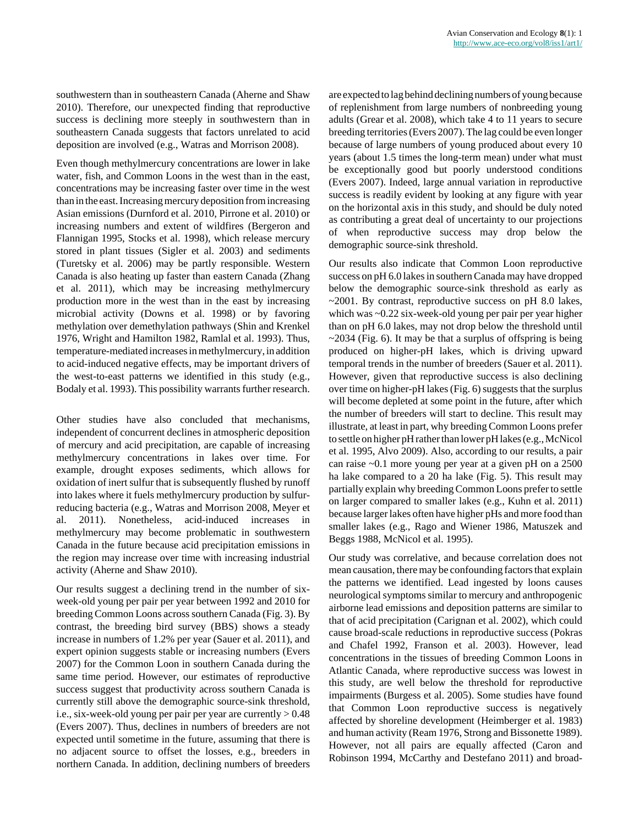southwestern than in southeastern Canada (Aherne and Shaw 2010). Therefore, our unexpected finding that reproductive success is declining more steeply in southwestern than in southeastern Canada suggests that factors unrelated to acid deposition are involved (e.g., Watras and Morrison 2008).

Even though methylmercury concentrations are lower in lake water, fish, and Common Loons in the west than in the east, concentrations may be increasing faster over time in the west than in the east. Increasing mercury deposition from increasing Asian emissions (Durnford et al. 2010, Pirrone et al. 2010) or increasing numbers and extent of wildfires (Bergeron and Flannigan 1995, Stocks et al. 1998), which release mercury stored in plant tissues (Sigler et al. 2003) and sediments (Turetsky et al. 2006) may be partly responsible. Western Canada is also heating up faster than eastern Canada (Zhang et al. 2011), which may be increasing methylmercury production more in the west than in the east by increasing microbial activity (Downs et al. 1998) or by favoring methylation over demethylation pathways (Shin and Krenkel 1976, Wright and Hamilton 1982, Ramlal et al. 1993). Thus, temperature-mediated increases in methylmercury, in addition to acid-induced negative effects, may be important drivers of the west-to-east patterns we identified in this study (e.g., Bodaly et al. 1993). This possibility warrants further research.

Other studies have also concluded that mechanisms, independent of concurrent declines in atmospheric deposition of mercury and acid precipitation, are capable of increasing methylmercury concentrations in lakes over time. For example, drought exposes sediments, which allows for oxidation of inert sulfur that is subsequently flushed by runoff into lakes where it fuels methylmercury production by sulfurreducing bacteria (e.g., Watras and Morrison 2008, Meyer et al. 2011). Nonetheless, acid-induced increases in methylmercury may become problematic in southwestern Canada in the future because acid precipitation emissions in the region may increase over time with increasing industrial activity (Aherne and Shaw 2010).

Our results suggest a declining trend in the number of sixweek-old young per pair per year between 1992 and 2010 for breeding Common Loons across southern Canada (Fig. 3). By contrast, the breeding bird survey (BBS) shows a steady increase in numbers of 1.2% per year (Sauer et al. 2011), and expert opinion suggests stable or increasing numbers (Evers 2007) for the Common Loon in southern Canada during the same time period. However, our estimates of reproductive success suggest that productivity across southern Canada is currently still above the demographic source-sink threshold, i.e., six-week-old young per pair per year are currently  $> 0.48$ (Evers 2007). Thus, declines in numbers of breeders are not expected until sometime in the future, assuming that there is no adjacent source to offset the losses, e.g., breeders in northern Canada. In addition, declining numbers of breeders are expected to lag behind declining numbers of young because of replenishment from large numbers of nonbreeding young adults (Grear et al. 2008), which take 4 to 11 years to secure breeding territories (Evers 2007). The lag could be even longer because of large numbers of young produced about every 10 years (about 1.5 times the long-term mean) under what must be exceptionally good but poorly understood conditions (Evers 2007). Indeed, large annual variation in reproductive success is readily evident by looking at any figure with year on the horizontal axis in this study, and should be duly noted as contributing a great deal of uncertainty to our projections of when reproductive success may drop below the demographic source-sink threshold.

Our results also indicate that Common Loon reproductive success on pH 6.0 lakes in southern Canada may have dropped below the demographic source-sink threshold as early as ~2001. By contrast, reproductive success on pH 8.0 lakes, which was ~0.22 six-week-old young per pair per year higher than on pH 6.0 lakes, may not drop below the threshold until  $\sim$ 2034 (Fig. 6). It may be that a surplus of offspring is being produced on higher-pH lakes, which is driving upward temporal trends in the number of breeders (Sauer et al. 2011). However, given that reproductive success is also declining over time on higher-pH lakes (Fig. 6) suggests that the surplus will become depleted at some point in the future, after which the number of breeders will start to decline. This result may illustrate, at least in part, why breeding Common Loons prefer to settle on higher pH rather than lower pH lakes (e.g., McNicol et al. 1995, Alvo 2009). Also, according to our results, a pair can raise ~0.1 more young per year at a given pH on a 2500 ha lake compared to a 20 ha lake (Fig. 5). This result may partially explain why breeding Common Loons prefer to settle on larger compared to smaller lakes (e.g., Kuhn et al. 2011) because larger lakes often have higher pHs and more food than smaller lakes (e.g., Rago and Wiener 1986, Matuszek and Beggs 1988, McNicol et al. 1995).

Our study was correlative, and because correlation does not mean causation, there may be confounding factors that explain the patterns we identified. Lead ingested by loons causes neurological symptoms similar to mercury and anthropogenic airborne lead emissions and deposition patterns are similar to that of acid precipitation (Carignan et al. 2002), which could cause broad-scale reductions in reproductive success (Pokras and Chafel 1992, Franson et al. 2003). However, lead concentrations in the tissues of breeding Common Loons in Atlantic Canada, where reproductive success was lowest in this study, are well below the threshold for reproductive impairments (Burgess et al. 2005). Some studies have found that Common Loon reproductive success is negatively affected by shoreline development (Heimberger et al. 1983) and human activity (Ream 1976, Strong and Bissonette 1989). However, not all pairs are equally affected (Caron and Robinson 1994, McCarthy and Destefano 2011) and broad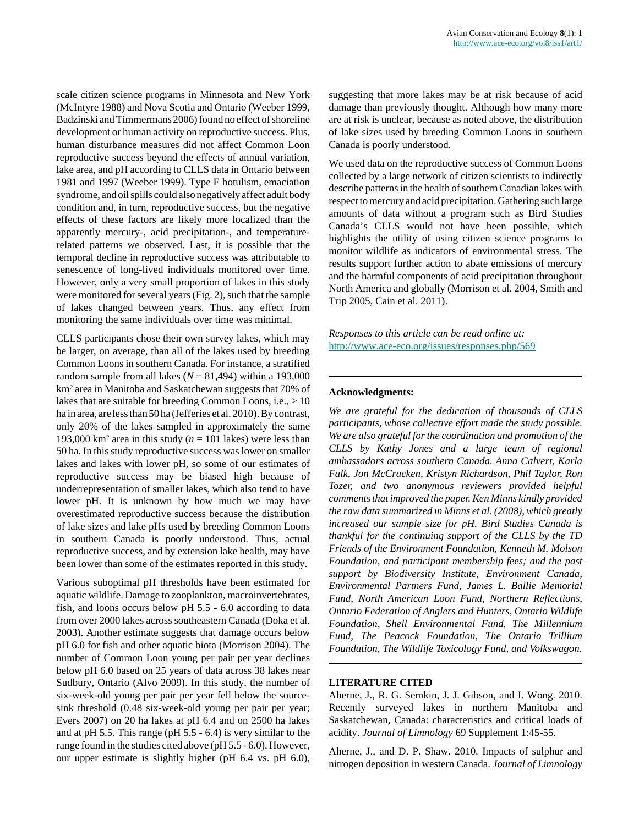scale citizen science programs in Minnesota and New York (McIntyre 1988) and Nova Scotia and Ontario (Weeber 1999, Badzinski and Timmermans 2006) found no effect of shoreline development or human activity on reproductive success. Plus, human disturbance measures did not affect Common Loon reproductive success beyond the effects of annual variation, lake area, and pH according to CLLS data in Ontario between 1981 and 1997 (Weeber 1999). Type E botulism, emaciation syndrome, and oil spills could also negatively affect adult body condition and, in turn, reproductive success, but the negative effects of these factors are likely more localized than the apparently mercury-, acid precipitation-, and temperaturerelated patterns we observed. Last, it is possible that the temporal decline in reproductive success was attributable to senescence of long-lived individuals monitored over time. However, only a very small proportion of lakes in this study were monitored for several years (Fig. 2), such that the sample of lakes changed between years. Thus, any effect from monitoring the same individuals over time was minimal.

CLLS participants chose their own survey lakes, which may be larger, on average, than all of the lakes used by breeding Common Loons in southern Canada. For instance, a stratified random sample from all lakes  $(N = 81,494)$  within a 193,000 km² area in Manitoba and Saskatchewan suggests that 70% of lakes that are suitable for breeding Common Loons, i.e.,  $> 10$ ha in area, are less than 50 ha (Jefferies et al. 2010). By contrast, only 20% of the lakes sampled in approximately the same 193,000 km<sup>2</sup> area in this study ( $n = 101$  lakes) were less than 50 ha. In this study reproductive success was lower on smaller lakes and lakes with lower pH, so some of our estimates of reproductive success may be biased high because of underrepresentation of smaller lakes, which also tend to have lower pH. It is unknown by how much we may have overestimated reproductive success because the distribution of lake sizes and lake pHs used by breeding Common Loons in southern Canada is poorly understood. Thus, actual reproductive success, and by extension lake health, may have been lower than some of the estimates reported in this study.

Various suboptimal pH thresholds have been estimated for aquatic wildlife. Damage to zooplankton, macroinvertebrates, fish, and loons occurs below pH 5.5 - 6.0 according to data from over 2000 lakes across southeastern Canada (Doka et al. 2003). Another estimate suggests that damage occurs below pH 6.0 for fish and other aquatic biota (Morrison 2004). The number of Common Loon young per pair per year declines below pH 6.0 based on 25 years of data across 38 lakes near Sudbury, Ontario (Alvo 2009). In this study, the number of six-week-old young per pair per year fell below the sourcesink threshold (0.48 six-week-old young per pair per year; Evers 2007) on 20 ha lakes at pH 6.4 and on 2500 ha lakes and at pH 5.5. This range (pH 5.5 - 6.4) is very similar to the range found in the studies cited above (pH 5.5 - 6.0). However, our upper estimate is slightly higher (pH 6.4 vs. pH 6.0), suggesting that more lakes may be at risk because of acid damage than previously thought. Although how many more are at risk is unclear, because as noted above, the distribution of lake sizes used by breeding Common Loons in southern Canada is poorly understood.

We used data on the reproductive success of Common Loons collected by a large network of citizen scientists to indirectly describe patterns in the health of southern Canadian lakes with respect to mercury and acid precipitation. Gathering such large amounts of data without a program such as Bird Studies Canada's CLLS would not have been possible, which highlights the utility of using citizen science programs to monitor wildlife as indicators of environmental stress. The results support further action to abate emissions of mercury and the harmful components of acid precipitation throughout North America and globally (Morrison et al. 2004, Smith and Trip 2005, Cain et al. 2011).

*Responses to this article can be read online at:* <http://www.ace-eco.org/issues/responses.php/569>

#### **Acknowledgments:**

*We are grateful for the dedication of thousands of CLLS participants, whose collective effort made the study possible. We are also grateful for the coordination and promotion of the CLLS by Kathy Jones and a large team of regional ambassadors across southern Canada. Anna Calvert, Karla Falk, Jon McCracken, Kristyn Richardson, Phil Taylor, Ron Tozer, and two anonymous reviewers provided helpful comments that improved the paper. Ken Minns kindly provided the raw data summarized in Minns et al. (2008), which greatly increased our sample size for pH. Bird Studies Canada is thankful for the continuing support of the CLLS by the TD Friends of the Environment Foundation, Kenneth M. Molson Foundation, and participant membership fees; and the past support by Biodiversity Institute, Environment Canada, Environmental Partners Fund, James L. Ballie Memorial Fund, North American Loon Fund, Northern Reflections, Ontario Federation of Anglers and Hunters, Ontario Wildlife Foundation, Shell Environmental Fund, The Millennium Fund, The Peacock Foundation, The Ontario Trillium Foundation, The Wildlife Toxicology Fund, and Volkswagon.*

#### **LITERATURE CITED**

Aherne, J., R. G. Semkin, J. J. Gibson, and I. Wong. 2010. Recently surveyed lakes in northern Manitoba and Saskatchewan, Canada: characteristics and critical loads of acidity. *Journal of Limnology* 69 Supplement 1:45-55.

Aherne, J., and D. P. Shaw. 2010. Impacts of sulphur and nitrogen deposition in western Canada. *Journal of Limnology*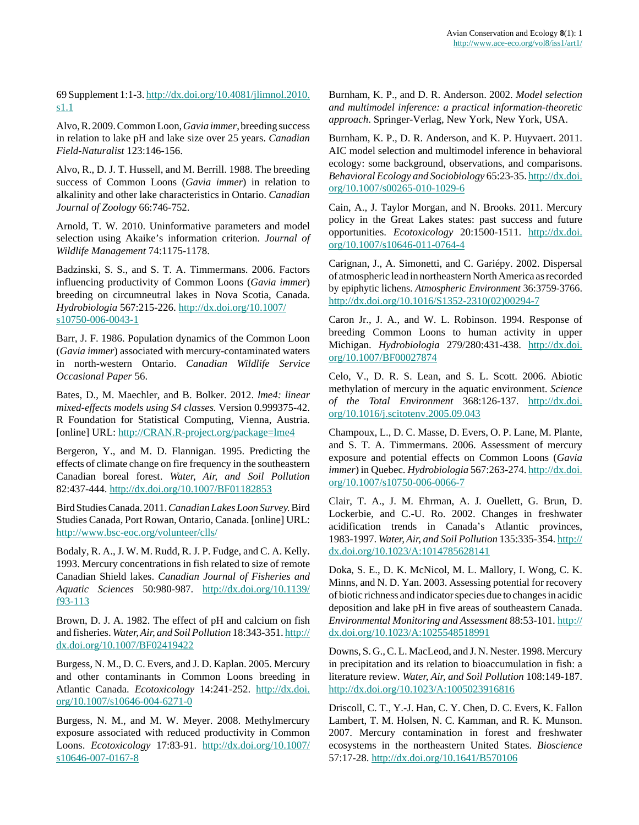69 Supplement 1:1-3. [http://dx.doi.org/10.4081/jlimnol.2010.](http://dx.doi.org/10.4081/jlimnol.2010.s1.1) [s1.1](http://dx.doi.org/10.4081/jlimnol.2010.s1.1)

Alvo, R. 2009. Common Loon, *Gavia immer*, breeding success in relation to lake pH and lake size over 25 years. *Canadian Field-Naturalist* 123:146-156.

Alvo, R., D. J. T. Hussell, and M. Berrill. 1988. The breeding success of Common Loons (*Gavia immer*) in relation to alkalinity and other lake characteristics in Ontario. *Canadian Journal of Zoology* 66:746-752.

Arnold, T. W. 2010. Uninformative parameters and model selection using Akaike's information criterion. *Journal of Wildlife Management* 74:1175-1178.

Badzinski, S. S., and S. T. A. Timmermans. 2006. Factors influencing productivity of Common Loons (*Gavia immer*) breeding on circumneutral lakes in Nova Scotia, Canada. *Hydrobiologia* 567:215-226. [http://dx.doi.org/10.1007/](http://dx.doi.org/10.1007/s10750-006-0043-1) [s10750-006-0043-1](http://dx.doi.org/10.1007/s10750-006-0043-1)

Barr, J. F. 1986. Population dynamics of the Common Loon (*Gavia immer*) associated with mercury-contaminated waters in north-western Ontario. *Canadian Wildlife Service Occasional Paper* 56.

Bates, D., M. Maechler, and B. Bolker. 2012. *lme4: linear mixed-effects models using S4 classes.* Version 0.999375-42. R Foundation for Statistical Computing, Vienna, Austria. [online] URL:<http://CRAN.R-project.org/package=lme4>

Bergeron, Y., and M. D. Flannigan. 1995. Predicting the effects of climate change on fire frequency in the southeastern Canadian boreal forest. *Water, Air, and Soil Pollution* 82:437-444.<http://dx.doi.org/10.1007/BF01182853>

Bird Studies Canada. 2011. *Canadian Lakes Loon Survey.* Bird Studies Canada, Port Rowan, Ontario, Canada. [online] URL: <http://www.bsc-eoc.org/volunteer/clls/>

Bodaly, R. A., J. W. M. Rudd, R. J. P. Fudge, and C. A. Kelly. 1993. Mercury concentrations in fish related to size of remote Canadian Shield lakes. *Canadian Journal of Fisheries and Aquatic Sciences* 50:980-987. [http://dx.doi.org/10.1139/](http://dx.doi.org/10.1139/f93-113) [f93-113](http://dx.doi.org/10.1139/f93-113)

Brown, D. J. A. 1982. The effect of pH and calcium on fish and fisheries. *Water, Air, and Soil Pollution* 18:343-351. [http://](http://dx.doi.org/10.1007/BF02419422) [dx.doi.org/10.1007/BF02419422](http://dx.doi.org/10.1007/BF02419422)

Burgess, N. M., D. C. Evers, and J. D. Kaplan. 2005. Mercury and other contaminants in Common Loons breeding in Atlantic Canada. *Ecotoxicology* 14:241-252. [http://dx.doi.](http://dx.doi.org/10.1007/s10646-004-6271-0) [org/10.1007/s10646-004-6271-0](http://dx.doi.org/10.1007/s10646-004-6271-0)

Burgess, N. M., and M. W. Meyer. 2008. Methylmercury exposure associated with reduced productivity in Common Loons. *Ecotoxicology* 17:83-91. [http://dx.doi.org/10.1007/](http://dx.doi.org/10.1007/s10646-007-0167-8) [s10646-007-0167-8](http://dx.doi.org/10.1007/s10646-007-0167-8)

Burnham, K. P., and D. R. Anderson. 2002. *Model selection and multimodel inference: a practical information-theoretic approach*. Springer-Verlag, New York, New York, USA.

Burnham, K. P., D. R. Anderson, and K. P. Huyvaert. 2011. AIC model selection and multimodel inference in behavioral ecology: some background, observations, and comparisons. *Behavioral Ecology and Sociobiology* 65:23-35. [http://dx.doi.](http://dx.doi.org/10.1007/s00265-010-1029-6) [org/10.1007/s00265-010-1029-6](http://dx.doi.org/10.1007/s00265-010-1029-6)

Cain, A., J. Taylor Morgan, and N. Brooks. 2011. Mercury policy in the Great Lakes states: past success and future opportunities. *Ecotoxicology* 20:1500-1511. [http://dx.doi.](http://dx.doi.org/10.1007/s10646-011-0764-4) [org/10.1007/s10646-011-0764-4](http://dx.doi.org/10.1007/s10646-011-0764-4)

Carignan, J., A. Simonetti, and C. Gariépy. 2002. Dispersal of atmospheric lead in northeastern North America as recorded by epiphytic lichens. *Atmospheric Environment* 36:3759-3766. [http://dx.doi.org/10.1016/S1352-2310\(02\)00294-7](http://dx.doi.org/10.1016/S1352-2310(02)00294-7)

Caron Jr., J. A., and W. L. Robinson. 1994. Response of breeding Common Loons to human activity in upper Michigan. *Hydrobiologia* 279/280:431-438. [http://dx.doi.](http://dx.doi.org/10.1007/BF00027874) [org/10.1007/BF00027874](http://dx.doi.org/10.1007/BF00027874)

Celo, V., D. R. S. Lean, and S. L. Scott. 2006. Abiotic methylation of mercury in the aquatic environment. *Science of the Total Environment* 368:126-137. [http://dx.doi.](http://dx.doi.org/10.1016/j.scitotenv.2005.09.043) [org/10.1016/j.scitotenv.2005.09.043](http://dx.doi.org/10.1016/j.scitotenv.2005.09.043)

Champoux, L., D. C. Masse, D. Evers, O. P. Lane, M. Plante, and S. T. A. Timmermans. 2006. Assessment of mercury exposure and potential effects on Common Loons (*Gavia immer*) in Quebec. *Hydrobiologia* 567:263-274. [http://dx.doi.](http://dx.doi.org/10.1007/s10750-006-0066-7) [org/10.1007/s10750-006-0066-7](http://dx.doi.org/10.1007/s10750-006-0066-7)

Clair, T. A., J. M. Ehrman, A. J. Ouellett, G. Brun, D. Lockerbie, and C.-U. Ro. 2002. Changes in freshwater acidification trends in Canada's Atlantic provinces, 1983-1997. *Water, Air, and Soil Pollution* 135:335-354. [http://](http://dx.doi.org/10.1023/A:1014785628141) [dx.doi.org/10.1023/A:1014785628141](http://dx.doi.org/10.1023/A:1014785628141)

Doka, S. E., D. K. McNicol, M. L. Mallory, I. Wong, C. K. Minns, and N. D. Yan. 2003. Assessing potential for recovery of biotic richness and indicator species due to changes in acidic deposition and lake pH in five areas of southeastern Canada. *Environmental Monitoring and Assessment* 88:53-101. [http://](http://dx.doi.org/10.1023/A:1025548518991) [dx.doi.org/10.1023/A:1025548518991](http://dx.doi.org/10.1023/A:1025548518991)

Downs, S. G., C. L. MacLeod, and J. N. Nester. 1998. Mercury in precipitation and its relation to bioaccumulation in fish: a literature review. *Water, Air, and Soil Pollution* 108:149-187. <http://dx.doi.org/10.1023/A:1005023916816>

Driscoll, C. T., Y.-J. Han, C. Y. Chen, D. C. Evers, K. Fallon Lambert, T. M. Holsen, N. C. Kamman, and R. K. Munson. 2007. Mercury contamination in forest and freshwater ecosystems in the northeastern United States. *Bioscience* 57:17-28.<http://dx.doi.org/10.1641/B570106>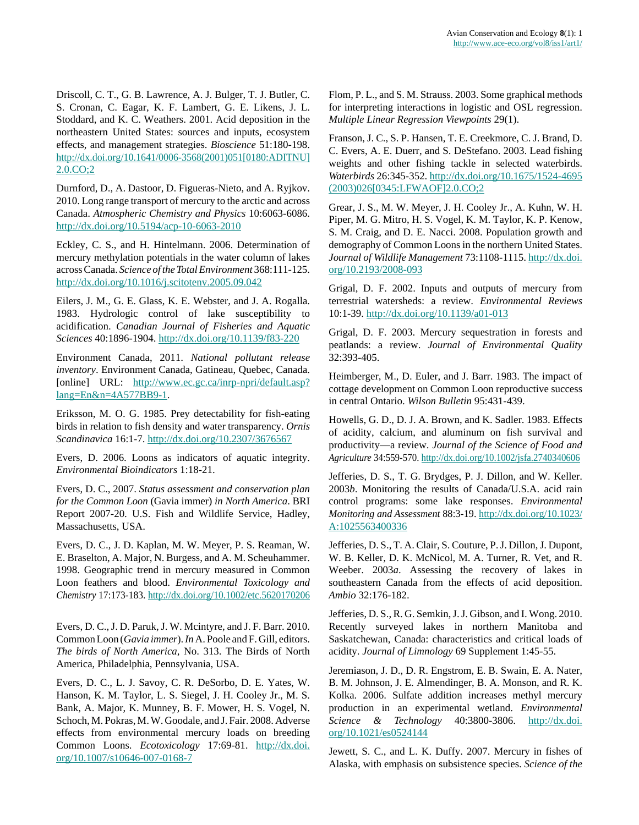Driscoll, C. T., G. B. Lawrence, A. J. Bulger, T. J. Butler, C. S. Cronan, C. Eagar, K. F. Lambert, G. E. Likens, J. L. Stoddard, and K. C. Weathers. 2001. Acid deposition in the northeastern United States: sources and inputs, ecosystem effects, and management strategies. *Bioscience* 51:180-198. [http://dx.doi.org/10.1641/0006-3568\(2001\)051\[0180:ADITNU\]](http://dx.doi.org/10.1641/0006-3568(2001)051[0180:ADITNU]2.0.CO;2) [2.0.CO;2](http://dx.doi.org/10.1641/0006-3568(2001)051[0180:ADITNU]2.0.CO;2)

Durnford, D., A. Dastoor, D. Figueras-Nieto, and A. Ryjkov. 2010. Long range transport of mercury to the arctic and across Canada. *Atmospheric Chemistry and Physics* 10:6063-6086. <http://dx.doi.org/10.5194/acp-10-6063-2010>

Eckley, C. S., and H. Hintelmann. 2006. Determination of mercury methylation potentials in the water column of lakes across Canada. *Science of the Total Environment* 368:111-125. <http://dx.doi.org/10.1016/j.scitotenv.2005.09.042>

Eilers, J. M., G. E. Glass, K. E. Webster, and J. A. Rogalla. 1983. Hydrologic control of lake susceptibility to acidification. *Canadian Journal of Fisheries and Aquatic Sciences* 40:1896-1904.<http://dx.doi.org/10.1139/f83-220>

Environment Canada, 2011. *National pollutant release inventory*. Environment Canada, Gatineau, Quebec, Canada. [online] URL: [http://www.ec.gc.ca/inrp-npri/default.asp?](http://www.ec.gc.ca/inrp-npri/default.asp?lang=En&n=4A577BB9-1) [lang=En&n=4A577BB9-1](http://www.ec.gc.ca/inrp-npri/default.asp?lang=En&n=4A577BB9-1).

Eriksson, M. O. G. 1985. Prey detectability for fish-eating birds in relation to fish density and water transparency. *Ornis Scandinavica* 16:1-7.<http://dx.doi.org/10.2307/3676567>

Evers, D. 2006. Loons as indicators of aquatic integrity. *Environmental Bioindicators* 1:18-21.

Evers, D. C., 2007. *Status assessment and conservation plan for the Common Loon* (Gavia immer) *in North America*. BRI Report 2007-20. U.S. Fish and Wildlife Service, Hadley, Massachusetts, USA.

Evers, D. C., J. D. Kaplan, M. W. Meyer, P. S. Reaman, W. E. Braselton, A. Major, N. Burgess, and A. M. Scheuhammer. 1998. Geographic trend in mercury measured in Common Loon feathers and blood. *Environmental Toxicology and Chemistry* 17:173-183. <http://dx.doi.org/10.1002/etc.5620170206>

Evers, D. C., J. D. Paruk, J. W. Mcintyre, and J. F. Barr. 2010. Common Loon (*Gavia immer*). *In* A. Poole and F. Gill, editors. *The birds of North America*, No. 313. The Birds of North America, Philadelphia, Pennsylvania, USA.

Evers, D. C., L. J. Savoy, C. R. DeSorbo, D. E. Yates, W. Hanson, K. M. Taylor, L. S. Siegel, J. H. Cooley Jr., M. S. Bank, A. Major, K. Munney, B. F. Mower, H. S. Vogel, N. Schoch, M. Pokras, M. W. Goodale, and J. Fair. 2008. Adverse effects from environmental mercury loads on breeding Common Loons. *Ecotoxicology* 17:69-81. [http://dx.doi.](http://dx.doi.org/10.1007/s10646-007-0168-7) [org/10.1007/s10646-007-0168-7](http://dx.doi.org/10.1007/s10646-007-0168-7)

Flom, P. L., and S. M. Strauss. 2003. Some graphical methods for interpreting interactions in logistic and OSL regression. *Multiple Linear Regression Viewpoints* 29(1).

Franson, J. C., S. P. Hansen, T. E. Creekmore, C. J. Brand, D. C. Evers, A. E. Duerr, and S. DeStefano. 2003. Lead fishing weights and other fishing tackle in selected waterbirds. *Waterbirds* 26:345-352. [http://dx.doi.org/10.1675/1524-4695](http://dx.doi.org/10.1675/1524-4695(2003)026[0345:LFWAOF]2.0.CO;2) [\(2003\)026\[0345:LFWAOF\]2.0.CO;2](http://dx.doi.org/10.1675/1524-4695(2003)026[0345:LFWAOF]2.0.CO;2)

Grear, J. S., M. W. Meyer, J. H. Cooley Jr., A. Kuhn, W. H. Piper, M. G. Mitro, H. S. Vogel, K. M. Taylor, K. P. Kenow, S. M. Craig, and D. E. Nacci. 2008. Population growth and demography of Common Loons in the northern United States. *Journal of Wildlife Management* 73:1108-1115. [http://dx.doi.](http://dx.doi.org/10.2193/2008-093) [org/10.2193/2008-093](http://dx.doi.org/10.2193/2008-093)

Grigal, D. F. 2002. Inputs and outputs of mercury from terrestrial watersheds: a review. *Environmental Reviews* 10:1-39.<http://dx.doi.org/10.1139/a01-013>

Grigal, D. F. 2003. Mercury sequestration in forests and peatlands: a review. *Journal of Environmental Quality* 32:393-405.

Heimberger, M., D. Euler, and J. Barr. 1983. The impact of cottage development on Common Loon reproductive success in central Ontario. *Wilson Bulletin* 95:431-439.

Howells, G. D., D. J. A. Brown, and K. Sadler. 1983. Effects of acidity, calcium, and aluminum on fish survival and productivity—a review. *Journal of the Science of Food and Agriculture* 34:559-570. <http://dx.doi.org/10.1002/jsfa.2740340606>

Jefferies, D. S., T. G. Brydges, P. J. Dillon, and W. Keller. 2003*b*. Monitoring the results of Canada/U.S.A. acid rain control programs: some lake responses. *Environmental Monitoring and Assessment* 88:3-19. [http://dx.doi.org/10.1023/](http://dx.doi.org/10.1023/A:1025563400336) [A:1025563400336](http://dx.doi.org/10.1023/A:1025563400336)

Jefferies, D. S., T. A. Clair, S. Couture, P. J. Dillon, J. Dupont, W. B. Keller, D. K. McNicol, M. A. Turner, R. Vet, and R. Weeber. 2003*a*. Assessing the recovery of lakes in southeastern Canada from the effects of acid deposition. *Ambio* 32:176-182.

Jefferies, D. S., R. G. Semkin, J. J. Gibson, and I. Wong. 2010. Recently surveyed lakes in northern Manitoba and Saskatchewan, Canada: characteristics and critical loads of acidity. *Journal of Limnology* 69 Supplement 1:45-55.

Jeremiason, J. D., D. R. Engstrom, E. B. Swain, E. A. Nater, B. M. Johnson, J. E. Almendinger, B. A. Monson, and R. K. Kolka. 2006. Sulfate addition increases methyl mercury production in an experimental wetland. *Environmental Science & Technology* 40:3800-3806. [http://dx.doi.](http://dx.doi.org/10.1021/es0524144) [org/10.1021/es0524144](http://dx.doi.org/10.1021/es0524144)

Jewett, S. C., and L. K. Duffy. 2007. Mercury in fishes of Alaska, with emphasis on subsistence species. *Science of the*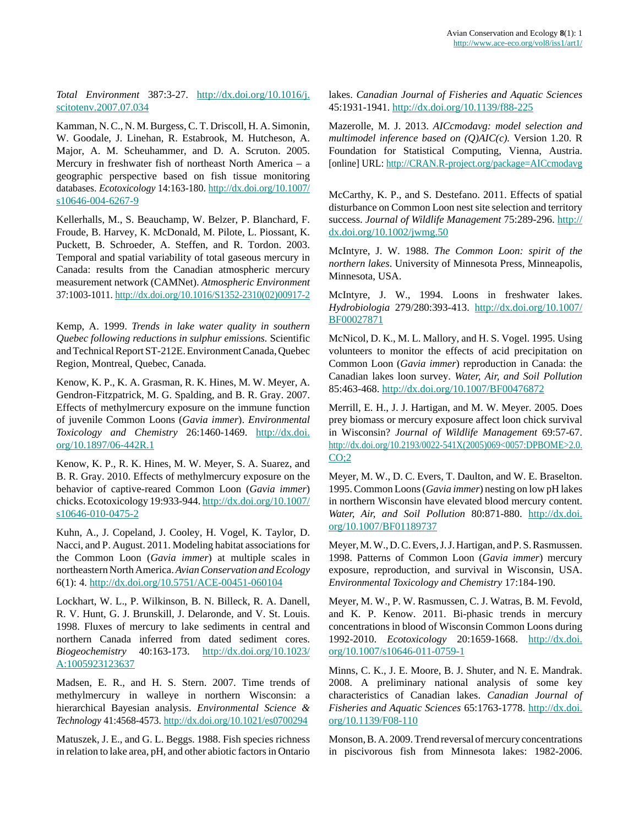*Total Environment* 387:3-27. [http://dx.doi.org/10.1016/j.](http://dx.doi.org/10.1016/j.scitotenv.2007.07.034) [scitotenv.2007.07.034](http://dx.doi.org/10.1016/j.scitotenv.2007.07.034)

Kamman, N. C., N. M. Burgess, C. T. Driscoll, H. A. Simonin, W. Goodale, J. Linehan, R. Estabrook, M. Hutcheson, A. Major, A. M. Scheuhammer, and D. A. Scruton. 2005. Mercury in freshwater fish of northeast North America – a geographic perspective based on fish tissue monitoring databases. *Ecotoxicology* 14:163-180. [http://dx.doi.org/10.1007/](http://dx.doi.org/10.1007/s10646-004-6267-9) [s10646-004-6267-9](http://dx.doi.org/10.1007/s10646-004-6267-9)

Kellerhalls, M., S. Beauchamp, W. Belzer, P. Blanchard, F. Froude, B. Harvey, K. McDonald, M. Pilote, L. Piossant, K. Puckett, B. Schroeder, A. Steffen, and R. Tordon. 2003. Temporal and spatial variability of total gaseous mercury in Canada: results from the Canadian atmospheric mercury measurement network (CAMNet). *Atmospheric Environment* 37:1003-1011. [http://dx.doi.org/10.1016/S1352-2310\(02\)00917-2](http://dx.doi.org/10.1016/S1352-2310(02)00917-2)

Kemp, A. 1999. *Trends in lake water quality in southern Quebec following reductions in sulphur emissions.* Scientific and Technical Report ST-212E. Environment Canada, Quebec Region, Montreal, Quebec, Canada.

Kenow, K. P., K. A. Grasman, R. K. Hines, M. W. Meyer, A. Gendron-Fitzpatrick, M. G. Spalding, and B. R. Gray. 2007. Effects of methylmercury exposure on the immune function of juvenile Common Loons (*Gavia immer*). *Environmental Toxicology and Chemistry* 26:1460-1469. [http://dx.doi.](http://dx.doi.org/10.1897/06-442R.1) [org/10.1897/06-442R.1](http://dx.doi.org/10.1897/06-442R.1)

Kenow, K. P., R. K. Hines, M. W. Meyer, S. A. Suarez, and B. R. Gray. 2010. Effects of methylmercury exposure on the behavior of captive-reared Common Loon (*Gavia immer*) chicks. Ecotoxicology 19:933-944. [http://dx.doi.org/10.1007/](http://dx.doi.org/10.1007/s10646-010-0475-2) [s10646-010-0475-2](http://dx.doi.org/10.1007/s10646-010-0475-2)

Kuhn, A., J. Copeland, J. Cooley, H. Vogel, K. Taylor, D. Nacci, and P. August. 2011. Modeling habitat associations for the Common Loon (*Gavia immer*) at multiple scales in northeastern North America. *Avian Conservation and Ecology* 6(1): 4. <http://dx.doi.org/10.5751/ACE-00451-060104>

Lockhart, W. L., P. Wilkinson, B. N. Billeck, R. A. Danell, R. V. Hunt, G. J. Brunskill, J. Delaronde, and V. St. Louis. 1998. Fluxes of mercury to lake sediments in central and northern Canada inferred from dated sediment cores. *Biogeochemistry* 40:163-173. [http://dx.doi.org/10.1023/](http://dx.doi.org/10.1023/A:1005923123637) [A:1005923123637](http://dx.doi.org/10.1023/A:1005923123637)

Madsen, E. R., and H. S. Stern. 2007. Time trends of methylmercury in walleye in northern Wisconsin: a hierarchical Bayesian analysis. *Environmental Science & Technology* 41:4568-4573. <http://dx.doi.org/10.1021/es0700294>

Matuszek, J. E., and G. L. Beggs. 1988. Fish species richness in relation to lake area, pH, and other abiotic factors in Ontario lakes. *Canadian Journal of Fisheries and Aquatic Sciences* 45:1931-1941.<http://dx.doi.org/10.1139/f88-225>

Mazerolle, M. J. 2013. *AICcmodavg: model selection and multimodel inference based on (Q)AIC(c).* Version 1.20. R Foundation for Statistical Computing, Vienna, Austria. [online] URL:<http://CRAN.R-project.org/package=AICcmodavg>

McCarthy, K. P., and S. Destefano. 2011. Effects of spatial disturbance on Common Loon nest site selection and territory success. *Journal of Wildlife Management* 75:289-296. [http://](http://dx.doi.org/10.1002/jwmg.50) [dx.doi.org/10.1002/jwmg.50](http://dx.doi.org/10.1002/jwmg.50)

McIntyre, J. W. 1988. *The Common Loon: spirit of the northern lakes*. University of Minnesota Press, Minneapolis, Minnesota, USA.

McIntyre, J. W., 1994. Loons in freshwater lakes. *Hydrobiologia* 279/280:393-413. [http://dx.doi.org/10.1007/](http://dx.doi.org/10.1007/BF00027871) [BF00027871](http://dx.doi.org/10.1007/BF00027871)

McNicol, D. K., M. L. Mallory, and H. S. Vogel. 1995. Using volunteers to monitor the effects of acid precipitation on Common Loon (*Gavia immer*) reproduction in Canada: the Canadian lakes loon survey. *Water, Air, and Soil Pollution* 85:463-468.<http://dx.doi.org/10.1007/BF00476872>

Merrill, E. H., J. J. Hartigan, and M. W. Meyer. 2005. Does prey biomass or mercury exposure affect loon chick survival in Wisconsin? *Journal of Wildlife Management* 69:57-67. [http://dx.doi.org/10.2193/0022-541X\(2005\)069<0057:DPBOME>2.0.](http://dx.doi.org/10.2193/0022-541X(2005)069<0057:DPBOME>2.0.CO;2)  $CO:2$ 

Meyer, M. W., D. C. Evers, T. Daulton, and W. E. Braselton. 1995. Common Loons (*Gavia immer*) nesting on low pH lakes in northern Wisconsin have elevated blood mercury content. *Water, Air, and Soil Pollution* 80:871-880. [http://dx.doi.](http://dx.doi.org/10.1007/BF01189737) [org/10.1007/BF01189737](http://dx.doi.org/10.1007/BF01189737)

Meyer, M. W., D. C. Evers, J. J. Hartigan, and P. S. Rasmussen. 1998. Patterns of Common Loon (*Gavia immer*) mercury exposure, reproduction, and survival in Wisconsin, USA. *Environmental Toxicology and Chemistry* 17:184-190.

Meyer, M. W., P. W. Rasmussen, C. J. Watras, B. M. Fevold, and K. P. Kenow. 2011. Bi-phasic trends in mercury concentrations in blood of Wisconsin Common Loons during 1992-2010. *Ecotoxicology* 20:1659-1668. [http://dx.doi.](http://dx.doi.org/10.1007/s10646-011-0759-1) [org/10.1007/s10646-011-0759-1](http://dx.doi.org/10.1007/s10646-011-0759-1)

Minns, C. K., J. E. Moore, B. J. Shuter, and N. E. Mandrak. 2008. A preliminary national analysis of some key characteristics of Canadian lakes. *Canadian Journal of Fisheries and Aquatic Sciences* 65:1763-1778. [http://dx.doi.](http://dx.doi.org/10.1139/F08-110) [org/10.1139/F08-110](http://dx.doi.org/10.1139/F08-110)

Monson, B. A. 2009. Trend reversal of mercury concentrations in piscivorous fish from Minnesota lakes: 1982-2006.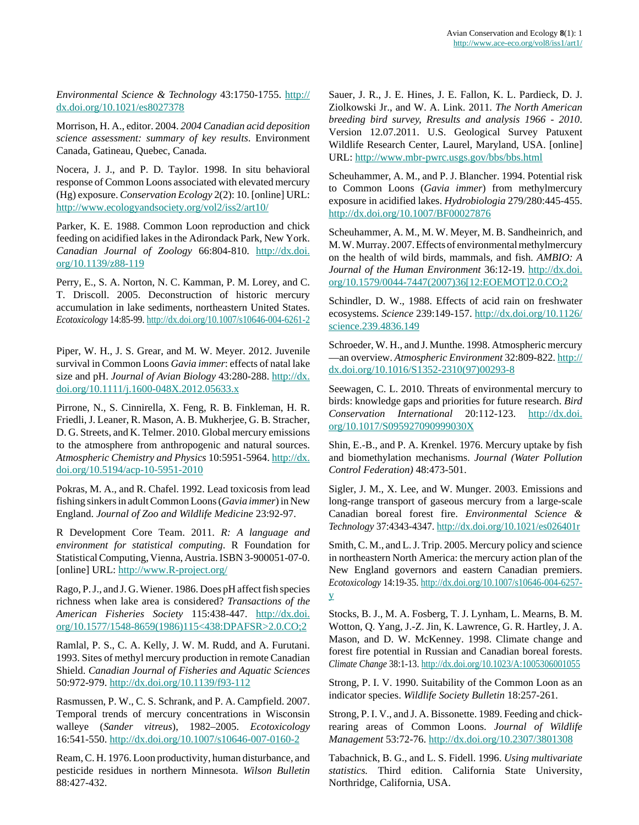*Environmental Science & Technology* 43:1750-1755. [http://](http://dx.doi.org/10.1021/es8027378) [dx.doi.org/10.1021/es8027378](http://dx.doi.org/10.1021/es8027378)

Morrison, H. A., editor. 2004. *2004 Canadian acid deposition science assessment: summary of key results*. Environment Canada, Gatineau, Quebec, Canada.

Nocera, J. J., and P. D. Taylor. 1998. In situ behavioral response of Common Loons associated with elevated mercury (Hg) exposure. *Conservation Ecology* 2(2): 10. [online] URL: <http://www.ecologyandsociety.org/vol2/iss2/art10/>

Parker, K. E. 1988. Common Loon reproduction and chick feeding on acidified lakes in the Adirondack Park, New York. *Canadian Journal of Zoology* 66:804-810. [http://dx.doi.](http://dx.doi.org/10.1139/z88-119) [org/10.1139/z88-119](http://dx.doi.org/10.1139/z88-119)

Perry, E., S. A. Norton, N. C. Kamman, P. M. Lorey, and C. T. Driscoll. 2005. Deconstruction of historic mercury accumulation in lake sediments, northeastern United States. *Ecotoxicology* 14:85-99. <http://dx.doi.org/10.1007/s10646-004-6261-2>

Piper, W. H., J. S. Grear, and M. W. Meyer. 2012. Juvenile survival in Common Loons *Gavia immer*: effects of natal lake size and pH. *Journal of Avian Biology* 43:280-288. [http://dx.](http://dx.doi.org/10.1111/j.1600-048X.2012.05633.x) [doi.org/10.1111/j.1600-048X.2012.05633.x](http://dx.doi.org/10.1111/j.1600-048X.2012.05633.x)

Pirrone, N., S. Cinnirella, X. Feng, R. B. Finkleman, H. R. Friedli, J. Leaner, R. Mason, A. B. Mukherjee, G. B. Stracher, D. G. Streets, and K. Telmer. 2010. Global mercury emissions to the atmosphere from anthropogenic and natural sources. *Atmospheric Chemistry and Physics* 10:5951-5964. [http://dx.](http://dx.doi.org/10.5194/acp-10-5951-2010) [doi.org/10.5194/acp-10-5951-2010](http://dx.doi.org/10.5194/acp-10-5951-2010)

Pokras, M. A., and R. Chafel. 1992. Lead toxicosis from lead fishing sinkers in adult Common Loons (*Gavia immer*) in New England. *Journal of Zoo and Wildlife Medicine* 23:92-97.

R Development Core Team. 2011. *R: A language and environment for statistical computing*. R Foundation for Statistical Computing, Vienna, Austria. ISBN 3-900051-07-0. [online] URL: [http://www.R-project.org/](http://www.r-project.org/)

Rago, P. J., and J. G. Wiener. 1986. Does pH affect fish species richness when lake area is considered? *Transactions of the American Fisheries Society* 115:438-447. [http://dx.doi.](http://dx.doi.org/10.1577/1548-8659(1986)115<438:DPAFSR>2.0.CO;2) [org/10.1577/1548-8659\(1986\)115<438:DPAFSR>2.0.CO;2](http://dx.doi.org/10.1577/1548-8659(1986)115<438:DPAFSR>2.0.CO;2)

Ramlal, P. S., C. A. Kelly, J. W. M. Rudd, and A. Furutani. 1993. Sites of methyl mercury production in remote Canadian Shield. *Canadian Journal of Fisheries and Aquatic Sciences* 50:972-979.<http://dx.doi.org/10.1139/f93-112>

Rasmussen, P. W., C. S. Schrank, and P. A. Campfield. 2007. Temporal trends of mercury concentrations in Wisconsin walleye (*Sander vitreus*), 1982–2005. *Ecotoxicology* 16:541-550.<http://dx.doi.org/10.1007/s10646-007-0160-2>

Ream, C. H. 1976. Loon productivity, human disturbance, and pesticide residues in northern Minnesota. *Wilson Bulletin* 88:427-432.

Sauer, J. R., J. E. Hines, J. E. Fallon, K. L. Pardieck, D. J. Ziolkowski Jr., and W. A. Link. 2011. *The North American breeding bird survey, Rresults and analysis 1966 - 2010*. Version 12.07.2011. U.S. Geological Survey Patuxent Wildlife Research Center, Laurel, Maryland, USA. [online] URL:<http://www.mbr-pwrc.usgs.gov/bbs/bbs.html>

Scheuhammer, A. M., and P. J. Blancher. 1994. Potential risk to Common Loons (*Gavia immer*) from methylmercury exposure in acidified lakes. *Hydrobiologia* 279/280:445-455. <http://dx.doi.org/10.1007/BF00027876>

Scheuhammer, A. M., M. W. Meyer, M. B. Sandheinrich, and M. W. Murray. 2007. Effects of environmental methylmercury on the health of wild birds, mammals, and fish. *AMBIO: A Journal of the Human Environment* 36:12-19. [http://dx.doi.](http://dx.doi.org/10.1579/0044-7447(2007)36[12:EOEMOT]2.0.CO;2) [org/10.1579/0044-7447\(2007\)36\[12:EOEMOT\]2.0.CO;2](http://dx.doi.org/10.1579/0044-7447(2007)36[12:EOEMOT]2.0.CO;2)

Schindler, D. W., 1988. Effects of acid rain on freshwater ecosystems. *Science* 239:149-157. [http://dx.doi.org/10.1126/](http://dx.doi.org/10.1126/science.239.4836.149) [science.239.4836.149](http://dx.doi.org/10.1126/science.239.4836.149)

Schroeder, W. H., and J. Munthe. 1998. Atmospheric mercury —an overview. *Atmospheric Environment* 32:809-822. [http://](http://dx.doi.org/10.1016/S1352-2310(97)00293-8) [dx.doi.org/10.1016/S1352-2310\(97\)00293-8](http://dx.doi.org/10.1016/S1352-2310(97)00293-8)

Seewagen, C. L. 2010. Threats of environmental mercury to birds: knowledge gaps and priorities for future research. *Bird Conservation International* 20:112-123. [http://dx.doi.](http://dx.doi.org/10.1017/S095927090999030X) [org/10.1017/S095927090999030X](http://dx.doi.org/10.1017/S095927090999030X)

Shin, E.-B., and P. A. Krenkel. 1976. Mercury uptake by fish and biomethylation mechanisms. *Journal (Water Pollution Control Federation)* 48:473-501.

Sigler, J. M., X. Lee, and W. Munger. 2003. Emissions and long-range transport of gaseous mercury from a large-scale Canadian boreal forest fire. *Environmental Science & Technology* 37:4343-4347. <http://dx.doi.org/10.1021/es026401r>

Smith, C. M., and L. J. Trip. 2005. Mercury policy and science in northeastern North America: the mercury action plan of the New England governors and eastern Canadian premiers. *Ecotoxicology* 14:19-35. [http://dx.doi.org/10.1007/s10646-004-6257](http://dx.doi.org/10.1007/s10646-004-6257-y) [y](http://dx.doi.org/10.1007/s10646-004-6257-y)

Stocks, B. J., M. A. Fosberg, T. J. Lynham, L. Mearns, B. M. Wotton, Q. Yang, J.-Z. Jin, K. Lawrence, G. R. Hartley, J. A. Mason, and D. W. McKenney. 1998. Climate change and forest fire potential in Russian and Canadian boreal forests. *Climate Change* 38:1-13. <http://dx.doi.org/10.1023/A:1005306001055>

Strong, P. I. V. 1990. Suitability of the Common Loon as an indicator species. *Wildlife Society Bulletin* 18:257-261.

Strong, P. I. V., and J. A. Bissonette. 1989. Feeding and chickrearing areas of Common Loons. *Journal of Wildlife Management* 53:72-76. <http://dx.doi.org/10.2307/3801308>

Tabachnick, B. G., and L. S. Fidell. 1996. *Using multivariate statistics.* Third edition. California State University, Northridge, California, USA.